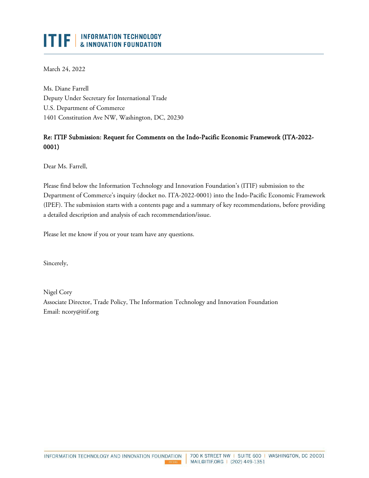# ITIF | INFORMATION TECHNOLOGY

March 24, 2022

Ms. Diane Farrell Deputy Under Secretary for International Trade U.S. Department of Commerce 1401 Constitution Ave NW, Washington, DC, 20230

# Re: ITIF Submission: Request for Comments on the Indo-Pacific Economic Framework (ITA-2022- 0001)

Dear Ms. Farrell,

Please find below the Information Technology and Innovation Foundation's (ITIF) submission to the Department of Commerce's inquiry (docket no. ITA-2022-0001) into the Indo-Pacific Economic Framework (IPEF). The submission starts with a contents page and a summary of key recommendations, before providing a detailed description and analysis of each recommendation/issue.

Please let me know if you or your team have any questions.

Sincerely,

Nigel Cory Associate Director, Trade Policy, The Information Technology and Innovation Foundation Email: ncory@itif.org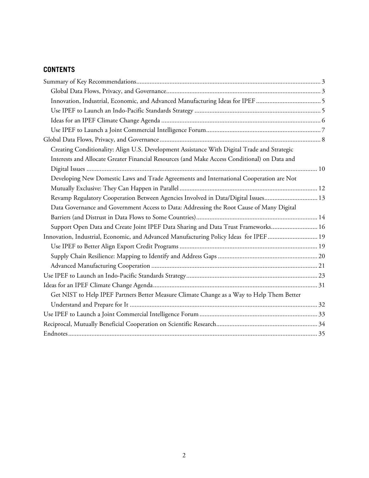# **CONTENTS**

| Creating Conditionality: Align U.S. Development Assistance With Digital Trade and Strategic  |  |
|----------------------------------------------------------------------------------------------|--|
| Interests and Allocate Greater Financial Resources (and Make Access Conditional) on Data and |  |
|                                                                                              |  |
| Developing New Domestic Laws and Trade Agreements and International Cooperation are Not      |  |
|                                                                                              |  |
| Revamp Regulatory Cooperation Between Agencies Involved in Data/Digital Issues 13            |  |
| Data Governance and Government Access to Data: Addressing the Root Cause of Many Digital     |  |
|                                                                                              |  |
| Support Open Data and Create Joint IPEF Data Sharing and Data Trust Frameworks 16            |  |
| Innovation, Industrial, Economic, and Advanced Manufacturing Policy Ideas for IPEF  19       |  |
|                                                                                              |  |
|                                                                                              |  |
|                                                                                              |  |
|                                                                                              |  |
|                                                                                              |  |
| Get NIST to Help IPEF Partners Better Measure Climate Change as a Way to Help Them Better    |  |
|                                                                                              |  |
|                                                                                              |  |
|                                                                                              |  |
|                                                                                              |  |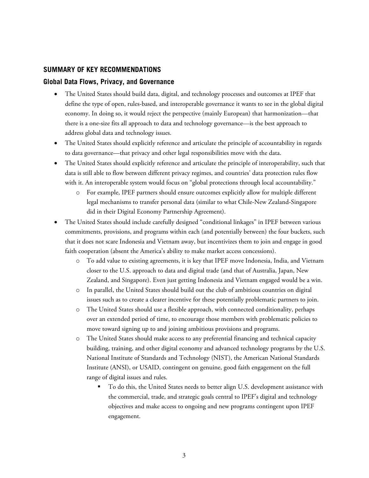#### <span id="page-2-0"></span>**SUMMARY OF KEY RECOMMENDATIONS**

#### <span id="page-2-1"></span>**Global Data Flows, Privacy, and Governance**

- The United States should build data, digital, and technology processes and outcomes at IPEF that define the type of open, rules-based, and interoperable governance it wants to see in the global digital economy. In doing so, it would reject the perspective (mainly European) that harmonization—that there is a one-size fits all approach to data and technology governance—is the best approach to address global data and technology issues.
- The United States should explicitly reference and articulate the principle of accountability in regards to data governance—that privacy and other legal responsibilities move with the data.
- The United States should explicitly reference and articulate the principle of interoperability, such that data is still able to flow between different privacy regimes, and countries' data protection rules flow with it. An interoperable system would focus on "global protections through local accountability."
	- o For example, IPEF partners should ensure outcomes explicitly allow for multiple different legal mechanisms to transfer personal data (similar to what Chile-New Zealand-Singapore did in their Digital Economy Partnership Agreement).
- The United States should include carefully designed "conditional linkages" in IPEF between various commitments, provisions, and programs within each (and potentially between) the four buckets, such that it does not scare Indonesia and Vietnam away, but incentivizes them to join and engage in good faith cooperation (absent the America's ability to make market access concessions).
	- To add value to existing agreements, it is key that IPEF move Indonesia, India, and Vietnam closer to the U.S. approach to data and digital trade (and that of Australia, Japan, New Zealand, and Singapore). Even just getting Indonesia and Vietnam engaged would be a win.
	- o In parallel, the United States should build out the club of ambitious countries on digital issues such as to create a clearer incentive for these potentially problematic partners to join.
	- o The United States should use a flexible approach, with connected conditionality, perhaps over an extended period of time, to encourage those members with problematic policies to move toward signing up to and joining ambitious provisions and programs.
	- o The United States should make access to any preferential financing and technical capacity building, training, and other digital economy and advanced technology programs by the U.S. National Institute of Standards and Technology (NIST), the American National Standards Institute (ANSI), or USAID, contingent on genuine, good faith engagement on the full range of digital issues and rules.
		- To do this, the United States needs to better align U.S. development assistance with the commercial, trade, and strategic goals central to IPEF's digital and technology objectives and make access to ongoing and new programs contingent upon IPEF engagement.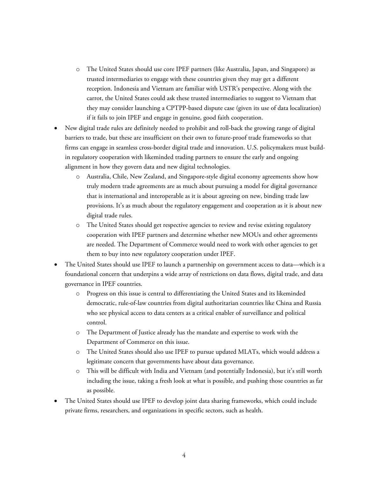- o The United States should use core IPEF partners (like Australia, Japan, and Singapore) as trusted intermediaries to engage with these countries given they may get a different reception. Indonesia and Vietnam are familiar with USTR's perspective. Along with the carrot, the United States could ask these trusted intermediaries to suggest to Vietnam that they may consider launching a CPTPP-based dispute case (given its use of data localization) if it fails to join IPEF and engage in genuine, good faith cooperation.
- New digital trade rules are definitely needed to prohibit and roll-back the growing range of digital barriers to trade, but these are insufficient on their own to future-proof trade frameworks so that firms can engage in seamless cross-border digital trade and innovation. U.S. policymakers must buildin regulatory cooperation with likeminded trading partners to ensure the early and ongoing alignment in how they govern data and new digital technologies.
	- o Australia, Chile, New Zealand, and Singapore-style digital economy agreements show how truly modern trade agreements are as much about pursuing a model for digital governance that is international and interoperable as it is about agreeing on new, binding trade law provisions. It's as much about the regulatory engagement and cooperation as it is about new digital trade rules.
	- o The United States should get respective agencies to review and revise existing regulatory cooperation with IPEF partners and determine whether new MOUs and other agreements are needed. The Department of Commerce would need to work with other agencies to get them to buy into new regulatory cooperation under IPEF.
- The United States should use IPEF to launch a partnership on government access to data—which is a foundational concern that underpins a wide array of restrictions on data flows, digital trade, and data governance in IPEF countries.
	- o Progress on this issue is central to differentiating the United States and its likeminded democratic, rule-of-law countries from digital authoritarian countries like China and Russia who see physical access to data centers as a critical enabler of surveillance and political control.
	- o The Department of Justice already has the mandate and expertise to work with the Department of Commerce on this issue.
	- o The United States should also use IPEF to pursue updated MLATs, which would address a legitimate concern that governments have about data governance.
	- o This will be difficult with India and Vietnam (and potentially Indonesia), but it's still worth including the issue, taking a fresh look at what is possible, and pushing those countries as far as possible.
- The United States should use IPEF to develop joint data sharing frameworks, which could include private firms, researchers, and organizations in specific sectors, such as health.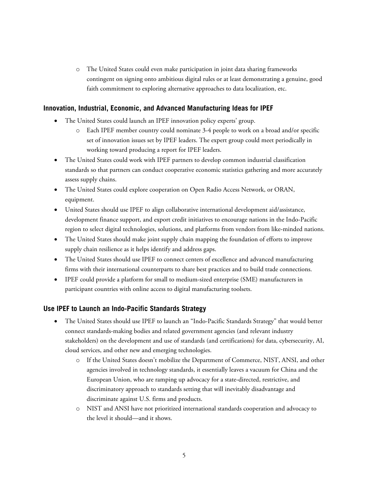o The United States could even make participation in joint data sharing frameworks contingent on signing onto ambitious digital rules or at least demonstrating a genuine, good faith commitment to exploring alternative approaches to data localization, etc.

### <span id="page-4-0"></span>**Innovation, Industrial, Economic, and Advanced Manufacturing Ideas for IPEF**

- The United States could launch an IPEF innovation policy experts' group.
	- o Each IPEF member country could nominate 3-4 people to work on a broad and/or specific set of innovation issues set by IPEF leaders. The expert group could meet periodically in working toward producing a report for IPEF leaders.
- The United States could work with IPEF partners to develop common industrial classification standards so that partners can conduct cooperative economic statistics gathering and more accurately assess supply chains.
- The United States could explore cooperation on Open Radio Access Network, or ORAN, equipment.
- United States should use IPEF to align collaborative international development aid/assistance, development finance support, and export credit initiatives to encourage nations in the Indo-Pacific region to select digital technologies, solutions, and platforms from vendors from like-minded nations.
- The United States should make joint supply chain mapping the foundation of efforts to improve supply chain resilience as it helps identify and address gaps.
- The United States should use IPEF to connect centers of excellence and advanced manufacturing firms with their international counterparts to share best practices and to build trade connections.
- IPEF could provide a platform for small to medium-sized enterprise (SME) manufacturers in participant countries with online access to digital manufacturing toolsets.

# <span id="page-4-1"></span>**Use IPEF to Launch an Indo-Pacific Standards Strategy**

- The United States should use IPEF to launch an "Indo-Pacific Standards Strategy" that would better connect standards-making bodies and related government agencies (and relevant industry stakeholders) on the development and use of standards (and certifications) for data, cybersecurity, AI, cloud services, and other new and emerging technologies.
	- o If the United States doesn't mobilize the Department of Commerce, NIST, ANSI, and other agencies involved in technology standards, it essentially leaves a vacuum for China and the European Union, who are ramping up advocacy for a state-directed, restrictive, and discriminatory approach to standards setting that will inevitably disadvantage and discriminate against U.S. firms and products.
	- o NIST and ANSI have not prioritized international standards cooperation and advocacy to the level it should—and it shows.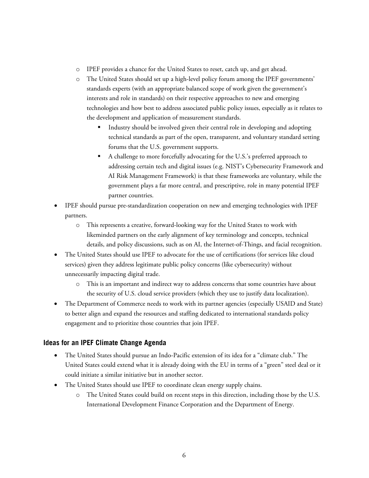- o IPEF provides a chance for the United States to reset, catch up, and get ahead.
- o The United States should set up a high-level policy forum among the IPEF governments' standards experts (with an appropriate balanced scope of work given the government's interests and role in standards) on their respective approaches to new and emerging technologies and how best to address associated public policy issues, especially as it relates to the development and application of measurement standards.
	- Industry should be involved given their central role in developing and adopting technical standards as part of the open, transparent, and voluntary standard setting forums that the U.S. government supports.
	- A challenge to more forcefully advocating for the U.S.'s preferred approach to addressing certain tech and digital issues (e.g. NIST's Cybersecurity Framework and AI Risk Management Framework) is that these frameworks are voluntary, while the government plays a far more central, and prescriptive, role in many potential IPEF partner countries.
- IPEF should pursue pre-standardization cooperation on new and emerging technologies with IPEF partners.
	- o This represents a creative, forward-looking way for the United States to work with likeminded partners on the early alignment of key terminology and concepts, technical details, and policy discussions, such as on AI, the Internet-of-Things, and facial recognition.
- The United States should use IPEF to advocate for the use of certifications (for services like cloud services) given they address legitimate public policy concerns (like cybersecurity) without unnecessarily impacting digital trade.
	- o This is an important and indirect way to address concerns that some countries have about the security of U.S. cloud service providers (which they use to justify data localization).
- The Department of Commerce needs to work with its partner agencies (especially USAID and State) to better align and expand the resources and staffing dedicated to international standards policy engagement and to prioritize those countries that join IPEF.

# <span id="page-5-0"></span>**Ideas for an IPEF Climate Change Agenda**

- The United States should pursue an Indo-Pacific extension of its idea for a "climate club." The United States could extend what it is already doing with the EU in terms of a "green" steel deal or it could initiate a similar initiative but in another sector.
- The United States should use IPEF to coordinate clean energy supply chains.
	- o The United States could build on recent steps in this direction, including those by the U.S. International Development Finance Corporation and the Department of Energy.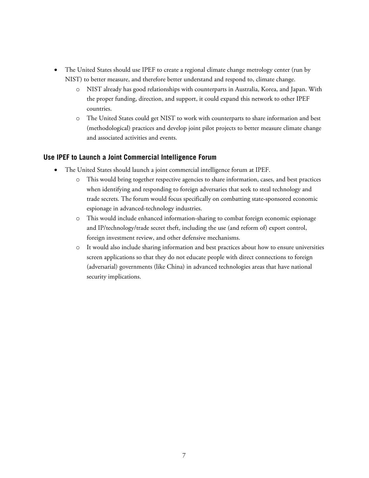- The United States should use IPEF to create a regional climate change metrology center (run by NIST) to better measure, and therefore better understand and respond to, climate change.
	- o NIST already has good relationships with counterparts in Australia, Korea, and Japan. With the proper funding, direction, and support, it could expand this network to other IPEF countries.
	- o The United States could get NIST to work with counterparts to share information and best (methodological) practices and develop joint pilot projects to better measure climate change and associated activities and events.

#### <span id="page-6-0"></span>**Use IPEF to Launch a Joint Commercial Intelligence Forum**

- The United States should launch a joint commercial intelligence forum at IPEF.
	- o This would bring together respective agencies to share information, cases, and best practices when identifying and responding to foreign adversaries that seek to steal technology and trade secrets. The forum would focus specifically on combatting state-sponsored economic espionage in advanced-technology industries.
	- o This would include enhanced information-sharing to combat foreign economic espionage and IP/technology/trade secret theft, including the use (and reform of) export control, foreign investment review, and other defensive mechanisms.
	- o It would also include sharing information and best practices about how to ensure universities screen applications so that they do not educate people with direct connections to foreign (adversarial) governments (like China) in advanced technologies areas that have national security implications.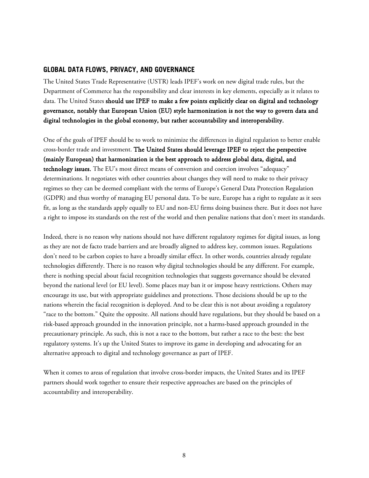#### <span id="page-7-0"></span>**GLOBAL DATA FLOWS, PRIVACY, AND GOVERNANCE**

The United States Trade Representative (USTR) leads IPEF's work on new digital trade rules, but the Department of Commerce has the responsibility and clear interests in key elements, especially as it relates to data. The United States should use IPEF to make a few points explicitly clear on digital and technology governance, notably that European Union (EU) style harmonization is not the way to govern data and digital technologies in the global economy, but rather accountability and interoperability.

One of the goals of IPEF should be to work to minimize the differences in digital regulation to better enable cross-border trade and investment. The United States should leverage IPEF to reject the perspective (mainly European) that harmonization is the best approach to address global data, digital, and technology issues. The EU's most direct means of conversion and coercion involves "adequacy" determinations. It negotiates with other countries about changes they will need to make to their privacy regimes so they can be deemed compliant with the terms of Europe's General Data Protection Regulation (GDPR) and thus worthy of managing EU personal data. To be sure, Europe has a right to regulate as it sees fit, as long as the standards apply equally to EU and non-EU firms doing business there. But it does not have a right to impose its standards on the rest of the world and then penalize nations that don't meet its standards.

Indeed, there is no reason why nations should not have different regulatory regimes for digital issues, as long as they are not de facto trade barriers and are broadly aligned to address key, common issues. Regulations don't need to be carbon copies to have a broadly similar effect. In other words, countries already regulate technologies differently. There is no reason why digital technologies should be any different. For example, there is nothing special about facial recognition technologies that suggests governance should be elevated beyond the national level (or EU level). Some places may ban it or impose heavy restrictions. Others may encourage its use, but with appropriate guidelines and protections. Those decisions should be up to the nations wherein the facial recognition is deployed. And to be clear this is not about avoiding a regulatory "race to the bottom." Quite the opposite. All nations should have regulations, but they should be based on a risk-based approach grounded in the innovation principle, not a harms-based approach grounded in the precautionary principle. As such, this is not a race to the bottom, but rather a race to the best: the best regulatory systems. It's up the United States to improve its game in developing and advocating for an alternative approach to digital and technology governance as part of IPEF.

When it comes to areas of regulation that involve cross-border impacts, the United States and its IPEF partners should work together to ensure their respective approaches are based on the principles of accountability and interoperability.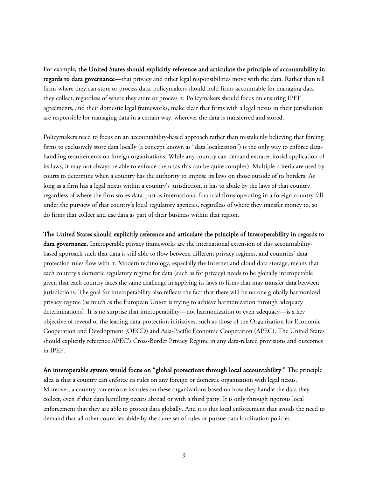For example, the United States should explicitly reference and articulate the principle of accountability in regards to data governance—that privacy and other legal responsibilities move with the data. Rather than tell firms where they can store or process data, policymakers should hold firms accountable for managing data they collect, regardless of where they store or process it. Policymakers should focus on ensuring IPEF agreements, and their domestic legal frameworks, make clear that firms with a legal nexus in their jurisdiction are responsible for managing data in a certain way, wherever the data is transferred and stored.

Policymakers need to focus on an accountability-based approach rather than mistakenly believing that forcing firms to exclusively store data locally (a concept known as "data localization") is the only way to enforce datahandling requirements on foreign organizations. While any country can demand extraterritorial application of its laws, it may not always be able to enforce them (as this can be quite complex). Multiple criteria are used by courts to determine when a country has the authority to impose its laws on those outside of its borders. As long as a firm has a legal nexus within a country's jurisdiction, it has to abide by the laws of that country, regardless of where the firm stores data. Just as international financial firms operating in a foreign country fall under the purview of that country's local regulatory agencies, regardless of where they transfer money to, so do firms that collect and use data as part of their business within that region.

The United States should explicitly reference and articulate the principle of interoperability in regards to data governance. Interoperable privacy frameworks are the international extension of this accountabilitybased approach such that data is still able to flow between different privacy regimes, and countries' data protection rules flow with it. Modern technology, especially the Internet and cloud data storage, means that each country's domestic regulatory regime for data (such as for privacy) needs to be globally interoperable given that each country faces the same challenge in applying its laws to firms that may transfer data between jurisdictions. The goal for interoperability also reflects the fact that there will be no one globally harmonized privacy regime (as much as the European Union is trying to achieve harmonization through adequacy determinations). It is no surprise that interoperability—not harmonization or even adequacy—is a key objective of several of the leading data-protection initiatives, such as those of the Organization for Economic Cooperation and Development (OECD) and Asia-Pacific Economic Cooperation (APEC). The United States should explicitly reference APEC's Cross-Border Privacy Regime in any data-related provisions and outcomes in IPEF.

An interoperable system would focus on "global protections through local accountability." The principle idea is that a country can enforce its rules on any foreign or domestic organization with legal nexus. Moreover, a country can enforce its rules on these organizations based on how they handle the data they collect, even if that data handling occurs abroad or with a third party. It is only through rigorous local enforcement that they are able to protect data globally. And it is this local enforcement that avoids the need to demand that all other countries abide by the same set of rules or pursue data localization policies.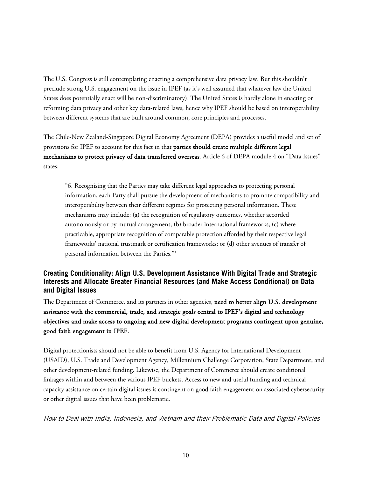The U.S. Congress is still contemplating enacting a comprehensive data privacy law. But this shouldn't preclude strong U.S. engagement on the issue in IPEF (as it's well assumed that whatever law the United States does potentially enact will be non-discriminatory). The United States is hardly alone in enacting or reforming data privacy and other key data-related laws, hence why IPEF should be based on interoperability between different systems that are built around common, core principles and processes.

The Chile-New Zealand-Singapore Digital Economy Agreement (DEPA) provides a useful model and set of provisions for IPEF to account for this fact in that parties should create multiple different legal mechanisms to protect privacy of data transferred overseas. Article 6 of DEPA module 4 on "Data Issues" states:

"6. Recognising that the Parties may take different legal approaches to protecting personal information, each Party shall pursue the development of mechanisms to promote compatibility and interoperability between their different regimes for protecting personal information. These mechanisms may include: (a) the recognition of regulatory outcomes, whether accorded autonomously or by mutual arrangement; (b) broader international frameworks; (c) where practicable, appropriate recognition of comparable protection afforded by their respective legal frameworks' national trustmark or certification frameworks; or (d) other avenues of transfer of personal information between the Parties."[1](#page-34-1)

# <span id="page-9-0"></span>**Creating Conditionality: Align U.S. Development Assistance With Digital Trade and Strategic Interests and Allocate Greater Financial Resources (and Make Access Conditional) on Data and Digital Issues**

The Department of Commerce, and its partners in other agencies, need to better align U.S. development assistance with the commercial, trade, and strategic goals central to IPEF's digital and technology objectives and make access to ongoing and new digital development programs contingent upon genuine, good faith engagement in IPEF.

Digital protectionists should not be able to benefit from U.S. Agency for International Development (USAID), U.S. Trade and Development Agency, Millennium Challenge Corporation, State Department, and other development-related funding. Likewise, the Department of Commerce should create conditional linkages within and between the various IPEF buckets. Access to new and useful funding and technical capacity assistance on certain digital issues is contingent on good faith engagement on associated cybersecurity or other digital issues that have been problematic.

How to Deal with India, Indonesia, and Vietnam and their Problematic Data and Digital Policies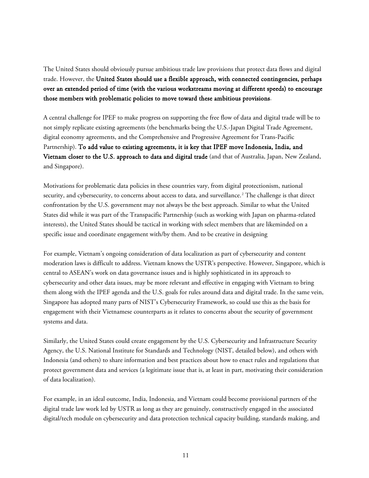The United States should obviously pursue ambitious trade law provisions that protect data flows and digital trade. However, the United States should use a flexible approach, with connected contingencies, perhaps over an extended period of time (with the various workstreams moving at different speeds) to encourage those members with problematic policies to move toward these ambitious provisions.

A central challenge for IPEF to make progress on supporting the free flow of data and digital trade will be to not simply replicate existing agreements (the benchmarks being the U.S.-Japan Digital Trade Agreement, digital economy agreements, and the Comprehensive and Progressive Agreement for Trans-Pacific Partnership). To add value to existing agreements, it is key that IPEF move Indonesia, India, and Vietnam closer to the U.S. approach to data and digital trade (and that of Australia, Japan, New Zealand, and Singapore).

Motivations for problematic data policies in these countries vary, from digital protectionism, national security, and cybersecurity, to concerns about access to data, and surveillance.<sup>[2](#page-34-2)</sup> The challenge is that direct confrontation by the U.S. government may not always be the best approach. Similar to what the United States did while it was part of the Transpacific Partnership (such as working with Japan on pharma-related interests), the United States should be tactical in working with select members that are likeminded on a specific issue and coordinate engagement with/by them. And to be creative in designing

For example, Vietnam's ongoing consideration of data localization as part of cybersecurity and content moderation laws is difficult to address. Vietnam knows the USTR's perspective. However, Singapore, which is central to ASEAN's work on data governance issues and is highly sophisticated in its approach to cybersecurity and other data issues, may be more relevant and effective in engaging with Vietnam to bring them along with the IPEF agenda and the U.S. goals for rules around data and digital trade. In the same vein, Singapore has adopted many parts of NIST's Cybersecurity Framework, so could use this as the basis for engagement with their Vietnamese counterparts as it relates to concerns about the security of government systems and data.

Similarly, the United States could create engagement by the U.S. Cybersecurity and Infrastructure Security Agency, the U.S. National Institute for Standards and Technology (NIST, detailed below), and others with Indonesia (and others) to share information and best practices about how to enact rules and regulations that protect government data and services (a legitimate issue that is, at least in part, motivating their consideration of data localization).

For example, in an ideal outcome, India, Indonesia, and Vietnam could become provisional partners of the digital trade law work led by USTR as long as they are genuinely, constructively engaged in the associated digital/tech module on cybersecurity and data protection technical capacity building, standards making, and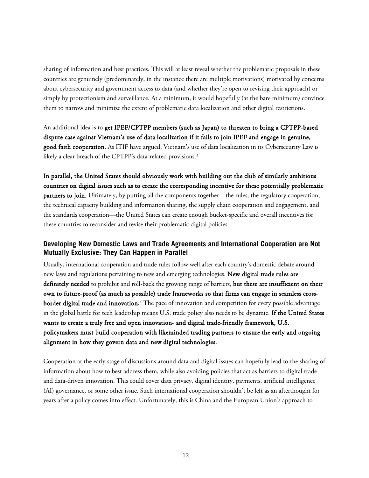sharing of information and best practices. This will at least reveal whether the problematic proposals in these countries are genuinely (predominately, in the instance there are multiple motivations) motivated by concerns about cybersecurity and government access to data (and whether they're open to revising their approach) or simply by protectionism and surveillance. At a minimum, it would hopefully (at the bare minimum) convince them to narrow and minimize the extent of problematic data localization and other digital restrictions.

An additional idea is to get IPEF/CPTPP members (such as Japan) to threaten to bring a CPTPP-based dispute case against Vietnam's use of data localization if it fails to join IPEF and engage in genuine, good faith cooperation. As ITIF have argued, Vietnam's use of data localization in its Cybersecurity Law is likely a clear breach of the CPTPP's data-related provisions.<sup>[3](#page-34-3)</sup>

In parallel, the United States should obviously work with building out the club of similarly ambitious countries on digital issues such as to create the corresponding incentive for these potentially problematic partners to join. Ultimately, by putting all the components together—the rules, the regulatory cooperation, the technical capacity building and information sharing, the supply chain cooperation and engagement, and the standards cooperation—the United States can create enough bucket-specific and overall incentives for these countries to reconsider and revise their problematic digital policies.

# <span id="page-11-0"></span>**Developing New Domestic Laws and Trade Agreements and International Cooperation are Not Mutually Exclusive: They Can Happen in Parallel**

Usually, international cooperation and trade rules follow well after each country's domestic debate around new laws and regulations pertaining to new and emerging technologies. New digital trade rules are definitely needed to prohibit and roll-back the growing range of barriers, but these are insufficient on their own to future-proof (as much as possible) trade frameworks so that firms can engage in seamless cross- $\bf{border\,\, digital\,\, trade\,\, and\,\, innovation.}$   $\rm{4}$  $\rm{4}$  $\rm{4}$   $\rm{The\,\,pace\,s}$  of innovation and competition for every possible advantage in the global battle for tech leadership means U.S. trade policy also needs to be dynamic. If the United States wants to create a truly free and open innovation- and digital trade-friendly framework, U.S. policymakers must build cooperation with likeminded trading partners to ensure the early and ongoing alignment in how they govern data and new digital technologies.

Cooperation at the early stage of discussions around data and digital issues can hopefully lead to the sharing of information about how to best address them, while also avoiding policies that act as barriers to digital trade and data-driven innovation. This could cover data privacy, digital identity, payments, artificial intelligence (AI) governance, or some other issue. Such international cooperation shouldn't be left as an afterthought for years after a policy comes into effect. Unfortunately, this is China and the European Union's approach to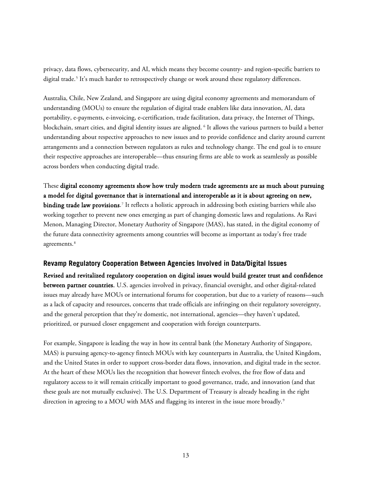privacy, data flows, cybersecurity, and AI, which means they become country- and region-specific barriers to digital trade.<sup>[5](#page-34-5)</sup> It's much harder to retrospectively change or work around these regulatory differences.

Australia, Chile, New Zealand, and Singapore are using digital economy agreements and memorandum of understanding (MOUs) to ensure the regulation of digital trade enablers like data innovation, AI, data portability, e-payments, e-invoicing, e-certification, trade facilitation, data privacy, the Internet of Things, blockchain, smart cities, and digital identity issues are aligned. [6](#page-34-6) It allows the various partners to build a better understanding about respective approaches to new issues and to provide confidence and clarity around current arrangements and a connection between regulators as rules and technology change. The end goal is to ensure their respective approaches are interoperable—thus ensuring firms are able to work as seamlessly as possible across borders when conducting digital trade.

These digital economy agreements show how truly modern trade agreements are as much about pursuing a model for digital governance that is international and interoperable as it is about agreeing on new, **binding trade law provisions**.<sup>[7](#page-34-7)</sup> It reflects a holistic approach in addressing both existing barriers while also working together to prevent new ones emerging as part of changing domestic laws and regulations. As Ravi Menon, Managing Director, Monetary Authority of Singapore (MAS), has stated, in the digital economy of the future data connectivity agreements among countries will become as important as today's free trade agreements. [8](#page-34-8)

#### <span id="page-12-0"></span>**Revamp Regulatory Cooperation Between Agencies Involved in Data/Digital Issues**

Revised and revitalized regulatory cooperation on digital issues would build greater trust and confidence between partner countries. U.S. agencies involved in privacy, financial oversight, and other digital-related issues may already have MOUs or international forums for cooperation, but due to a variety of reasons—such as a lack of capacity and resources, concerns that trade officials are infringing on their regulatory sovereignty, and the general perception that they're domestic, not international, agencies—they haven't updated, prioritized, or pursued closer engagement and cooperation with foreign counterparts.

For example, Singapore is leading the way in how its central bank (the Monetary Authority of Singapore, MAS) is pursuing agency-to-agency fintech MOUs with key counterparts in Australia, the United Kingdom, and the United States in order to support cross-border data flows, innovation, and digital trade in the sector. At the heart of these MOUs lies the recognition that however fintech evolves, the free flow of data and regulatory access to it will remain critically important to good governance, trade, and innovation (and that these goals are not mutually exclusive). The U.S. Department of Treasury is already heading in the right direction in agreeing to a MOU with MAS and flagging its interest in the issue more broadly.<sup>[9](#page-34-9)</sup>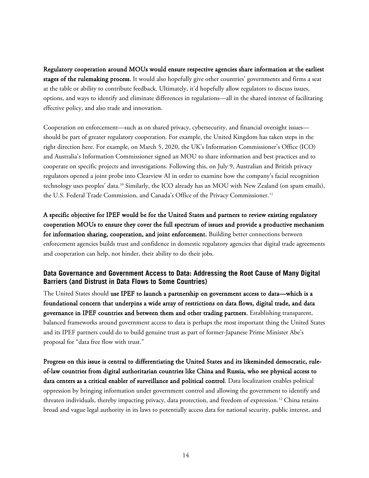Regulatory cooperation around MOUs would ensure respective agencies share information at the earliest stages of the rulemaking process. It would also hopefully give other countries' governments and firms a seat at the table or ability to contribute feedback. Ultimately, it'd hopefully allow regulators to discuss issues, options, and ways to identify and eliminate differences in regulations—all in the shared interest of facilitating effective policy, and also trade and innovation.

Cooperation on enforcement—such as on shared privacy, cybersecurity, and financial oversight issues should be part of greater regulatory cooperation. For example, the United Kingdom has taken steps in the right direction here. For example, on March 5, 2020, the UK's Information Commissioner's Office (ICO) and Australia's Information Commissioner signed an MOU to share information and best practices and to cooperate on specific projects and investigations. Following this, on July 9, Australian and British privacy regulators opened a joint probe into Clearview AI in order to examine how the company's facial recognition technology uses peoples' data.[10](#page-34-10) Similarly, the ICO already has an MOU with New Zealand (on spam emails), the U.S. Federal Trade Commission, and Canada's Office of the Privacy Commissioner. [11](#page-34-11)

A specific objective for IPEF would be for the United States and partners to review existing regulatory cooperation MOUs to ensure they cover the full spectrum of issues and provide a productive mechanism for information sharing, cooperation, and joint enforcement. Building better connections between enforcement agencies builds trust and confidence in domestic regulatory agencies that digital trade agreements and cooperation can help, not hinder, their ability to do their jobs.

# <span id="page-13-0"></span>**Data Governance and Government Access to Data: Addressing the Root Cause of Many Digital Barriers (and Distrust in Data Flows to Some Countries)**

The United States should use IPEF to launch a partnership on government access to data—which is a foundational concern that underpins a wide array of restrictions on data flows, digital trade, and data governance in IPEF countries and between them and other trading partners. Establishing transparent, balanced frameworks around government access to data is perhaps the most important thing the United States and its IPEF partners could do to build genuine trust as part of former-Japanese Prime Minister Abe's proposal for "data free flow with trust."

Progress on this issue is central to differentiating the United States and its likeminded democratic, ruleof-law countries from digital authoritarian countries like China and Russia, who see physical access to data centers as a critical enabler of surveillance and political control. Data localization enables political oppression by bringing information under government control and allowing the government to identify and threaten individuals, thereby impacting privacy, data protection, and freedom of expression.<sup>[12](#page-34-12)</sup> China retains broad and vague legal authority in its laws to potentially access data for national security, public interest, and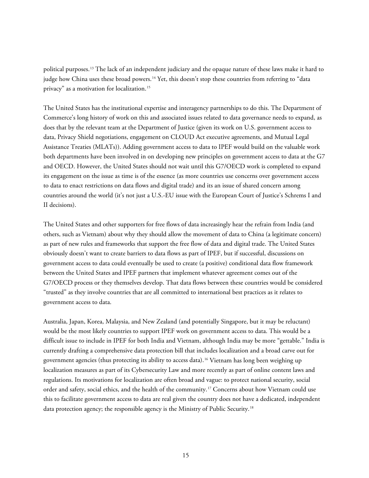political purposes.[13](#page-35-0) The lack of an independent judiciary and the opaque nature of these laws make it hard to judge how China uses these broad powers.<sup>[14](#page-35-1)</sup> Yet, this doesn't stop these countries from referring to "data" privacy" as a motivation for localization.[15](#page-35-2)

The United States has the institutional expertise and interagency partnerships to do this. The Department of Commerce's long history of work on this and associated issues related to data governance needs to expand, as does that by the relevant team at the Department of Justice (given its work on U.S. government access to data, Privacy Shield negotiations, engagement on CLOUD Act executive agreements, and Mutual Legal Assistance Treaties (MLATs)). Adding government access to data to IPEF would build on the valuable work both departments have been involved in on developing new principles on government access to data at the G7 and OECD. However, the United States should not wait until this G7/OECD work is completed to expand its engagement on the issue as time is of the essence (as more countries use concerns over government access to data to enact restrictions on data flows and digital trade) and its an issue of shared concern among countries around the world (it's not just a U.S.-EU issue with the European Court of Justice's Schrems I and II decisions).

The United States and other supporters for free flows of data increasingly hear the refrain from India (and others, such as Vietnam) about why they should allow the movement of data to China (a legitimate concern) as part of new rules and frameworks that support the free flow of data and digital trade. The United States obviously doesn't want to create barriers to data flows as part of IPEF, but if successful, discussions on government access to data could eventually be used to create (a positive) conditional data flow framework between the United States and IPEF partners that implement whatever agreement comes out of the G7/OECD process or they themselves develop. That data flows between these countries would be considered "trusted" as they involve countries that are all committed to international best practices as it relates to government access to data.

Australia, Japan, Korea, Malaysia, and New Zealand (and potentially Singapore, but it may be reluctant) would be the most likely countries to support IPEF work on government access to data. This would be a difficult issue to include in IPEF for both India and Vietnam, although India may be more "gettable." India is currently drafting a comprehensive data protection bill that includes localization and a broad carve out for government agencies (thus protecting its ability to access data).[16](#page-35-3) Vietnam has long been weighing up localization measures as part of its Cybersecurity Law and more recently as part of online content laws and regulations. Its motivations for localization are often broad and vague: to protect national security, social order and safety, social ethics, and the health of the community.[17](#page-35-4) Concerns about how Vietnam could use this to facilitate government access to data are real given the country does not have a dedicated, independent data protection agency; the responsible agency is the Ministry of Public Security.<sup>[18](#page-35-5)</sup>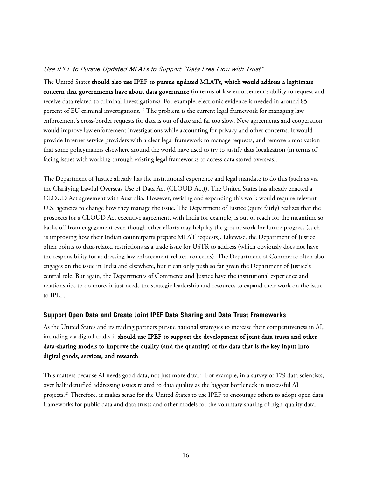### Use IPEF to Pursue Updated MLATs to Support "Data Free Flow with Trust"

The United States should also use IPEF to pursue updated MLATs, which would address a legitimate concern that governments have about data governance (in terms of law enforcement's ability to request and receive data related to criminal investigations). For example, electronic evidence is needed in around 85 percent of EU criminal investigations. [19](#page-35-6) The problem is the current legal framework for managing law enforcement's cross-border requests for data is out of date and far too slow. New agreements and cooperation would improve law enforcement investigations while accounting for privacy and other concerns. It would provide Internet service providers with a clear legal framework to manage requests, and remove a motivation that some policymakers elsewhere around the world have used to try to justify data localization (in terms of facing issues with working through existing legal frameworks to access data stored overseas).

The Department of Justice already has the institutional experience and legal mandate to do this (such as via the Clarifying Lawful Overseas Use of Data Act (CLOUD Act)). The United States has already enacted a CLOUD Act agreement with Australia. However, revising and expanding this work would require relevant U.S. agencies to change how they manage the issue. The Department of Justice (quite fairly) realizes that the prospects for a CLOUD Act executive agreement, with India for example, is out of reach for the meantime so backs off from engagement even though other efforts may help lay the groundwork for future progress (such as improving how their Indian counterparts prepare MLAT requests). Likewise, the Department of Justice often points to data-related restrictions as a trade issue for USTR to address (which obviously does not have the responsibility for addressing law enforcement-related concerns). The Department of Commerce often also engages on the issue in India and elsewhere, but it can only push so far given the Department of Justice's central role. But again, the Departments of Commerce and Justice have the institutional experience and relationships to do more, it just needs the strategic leadership and resources to expand their work on the issue to IPEF.

#### <span id="page-15-0"></span>**Support Open Data and Create Joint IPEF Data Sharing and Data Trust Frameworks**

As the United States and its trading partners pursue national strategies to increase their competitiveness in AI, including via digital trade, it should use IPEF to support the development of joint data trusts and other data-sharing models to improve the quality (and the quantity) of the data that is the key input into digital goods, services, and research.

This matters because AI needs good data, not just more data.<sup>[20](#page-35-7)</sup> For example, in a survey of 179 data scientists, over half identified addressing issues related to data quality as the biggest bottleneck in successful AI projects. [21](#page-35-8) Therefore, it makes sense for the United States to use IPEF to encourage others to adopt open data frameworks for public data and data trusts and other models for the voluntary sharing of high-quality data.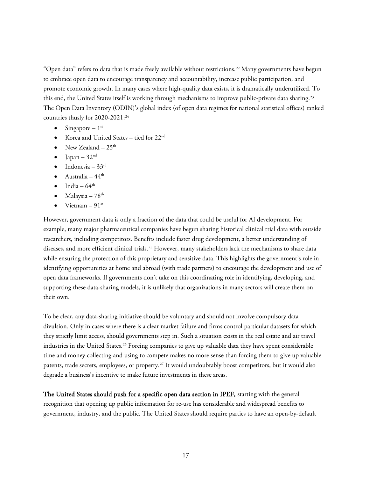"Open data" refers to data that is made freely available without restrictions.<sup>[22](#page-35-9)</sup> Many governments have begun to embrace open data to encourage transparency and accountability, increase public participation, and promote economic growth. In many cases where high-quality data exists, it is dramatically underutilized. To this end, the United States itself is working through mechanisms to improve public-private data sharing.<sup>[23](#page-35-10)</sup> The Open Data Inventory (ODIN)'s global index (of open data regimes for national statistical offices) ranked countries thusly for 2020-2021:<sup>[24](#page-35-11)</sup>

- Singapore  $1<sup>st</sup>$
- Korea and United States tied for 22<sup>nd</sup>
- New Zealand  $-25<sup>th</sup>$
- Japan  $32<sup>nd</sup>$
- Indonesia  $33<sup>rd</sup>$
- Australia  $44^{\text{th}}$
- India  $64^{\text{th}}$
- Malaysia  $78<sup>th</sup>$
- Vietnam  $91^{st}$

However, government data is only a fraction of the data that could be useful for AI development. For example, many major pharmaceutical companies have begun sharing historical clinical trial data with outside researchers, including competitors. Benefits include faster drug development, a better understanding of diseases, and more efficient clinical trials.<sup>[25](#page-35-12)</sup> However, many stakeholders lack the mechanisms to share data while ensuring the protection of this proprietary and sensitive data. This highlights the government's role in identifying opportunities at home and abroad (with trade partners) to encourage the development and use of open data frameworks. If governments don't take on this coordinating role in identifying, developing, and supporting these data-sharing models, it is unlikely that organizations in many sectors will create them on their own.

To be clear, any data-sharing initiative should be voluntary and should not involve compulsory data divulsion. Only in cases where there is a clear market failure and firms control particular datasets for which they strictly limit access, should governments step in. Such a situation exists in the real estate and air travel industries in the United States.<sup>[26](#page-35-13)</sup> Forcing companies to give up valuable data they have spent considerable time and money collecting and using to compete makes no more sense than forcing them to give up valuable patents, trade secrets, employees, or property.[27](#page-35-14) It would undoubtably boost competitors, but it would also degrade a business's incentive to make future investments in these areas.

The United States should push for a specific open data section in IPEF, starting with the general recognition that opening up public information for re-use has considerable and widespread benefits to government, industry, and the public. The United States should require parties to have an open-by-default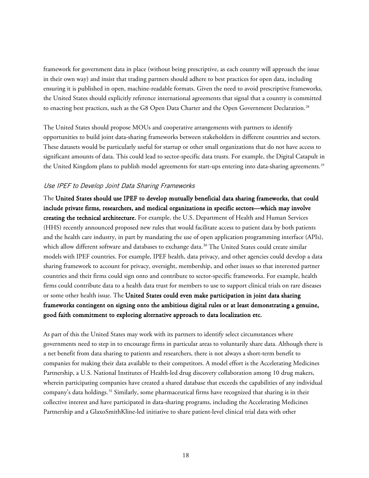framework for government data in place (without being prescriptive, as each country will approach the issue in their own way) and insist that trading partners should adhere to best practices for open data, including ensuring it is published in open, machine-readable formats. Given the need to avoid prescriptive frameworks, the United States should explicitly reference international agreements that signal that a country is committed to enacting best practices, such as the G8 Open Data Charter and the Open Government Declaration. [28](#page-36-0)

The United States should propose MOUs and cooperative arrangements with partners to identify opportunities to build joint data-sharing frameworks between stakeholders in different countries and sectors. These datasets would be particularly useful for startup or other small organizations that do not have access to significant amounts of data. This could lead to sector-specific data trusts. For example, the Digital Catapult in the United Kingdom plans to publish model agreements for start-ups entering into data-sharing agreements.<sup>[29](#page-36-1)</sup>

#### Use IPEF to Develop Joint Data Sharing Frameworks

The United States should use IPEF to develop mutually beneficial data sharing frameworks, that could include private firms, researchers, and medical organizations in specific sectors—which may involve creating the technical architecture. For example, the U.S. Department of Health and Human Services (HHS) recently announced proposed new rules that would facilitate access to patient data by both patients and the health care industry, in part by mandating the use of open application programming interface (APIs), which allow different software and databases to exchange data.<sup>[30](#page-36-2)</sup> The United States could create similar models with IPEF countries. For example, IPEF health, data privacy, and other agencies could develop a data sharing framework to account for privacy, oversight, membership, and other issues so that interested partner countries and their firms could sign onto and contribute to sector-specific frameworks. For example, health firms could contribute data to a health data trust for members to use to support clinical trials on rare diseases or some other health issue. The United States could even make participation in joint data sharing frameworks contingent on signing onto the ambitious digital rules or at least demonstrating a genuine, good faith commitment to exploring alternative approach to data localization etc.

As part of this the United States may work with its partners to identify select circumstances where governments need to step in to encourage firms in particular areas to voluntarily share data. Although there is a net benefit from data sharing to patients and researchers, there is not always a short-term benefit to companies for making their data available to their competitors. A model effort is the Accelerating Medicines Partnership, a U.S. National Institutes of Health-led drug discovery collaboration among 10 drug makers, wherein participating companies have created a shared database that exceeds the capabilities of any individual company's data holdings.[31](#page-36-3) Similarly, some pharmaceutical firms have recognized that sharing is in their collective interest and have participated in data-sharing programs, including the Accelerating Medicines Partnership and a GlaxoSmithKline-led initiative to share patient-level clinical trial data with other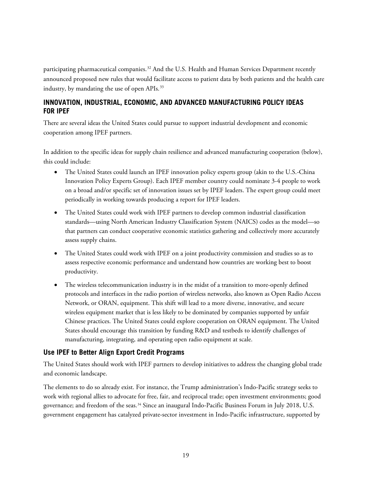participating pharmaceutical companies.<sup>[32](#page-36-4)</sup> And the U.S. Health and Human Services Department recently announced proposed new rules that would facilitate access to patient data by both patients and the health care industry, by mandating the use of open APIs.<sup>[33](#page-36-5)</sup>

# <span id="page-18-0"></span>**INNOVATION, INDUSTRIAL, ECONOMIC, AND ADVANCED MANUFACTURING POLICY IDEAS FOR IPEF**

There are several ideas the United States could pursue to support industrial development and economic cooperation among IPEF partners.

In addition to the specific ideas for supply chain resilience and advanced manufacturing cooperation (below), this could include:

- The United States could launch an IPEF innovation policy experts group (akin to the U.S.-China Innovation Policy Experts Group). Each IPEF member country could nominate 3-4 people to work on a broad and/or specific set of innovation issues set by IPEF leaders. The expert group could meet periodically in working towards producing a report for IPEF leaders.
- The United States could work with IPEF partners to develop common industrial classification standards—using North American Industry Classification System (NAICS) codes as the model—so that partners can conduct cooperative economic statistics gathering and collectively more accurately assess supply chains.
- The United States could work with IPEF on a joint productivity commission and studies so as to assess respective economic performance and understand how countries are working best to boost productivity.
- The wireless telecommunication industry is in the midst of a transition to more-openly defined protocols and interfaces in the radio portion of wireless networks, also known as Open Radio Access Network, or ORAN, equipment. This shift will lead to a more diverse, innovative, and secure wireless equipment market that is less likely to be dominated by companies supported by unfair Chinese practices. The United States could explore cooperation on ORAN equipment. The United States should encourage this transition by funding R&D and testbeds to identify challenges of manufacturing, integrating, and operating open radio equipment at scale.

# <span id="page-18-1"></span>**Use IPEF to Better Align Export Credit Programs**

The United States should work with IPEF partners to develop initiatives to address the changing global trade and economic landscape.

The elements to do so already exist. For instance, the Trump administration's Indo-Pacific strategy seeks to work with regional allies to advocate for free, fair, and reciprocal trade; open investment environments; good governance; and freedom of the seas.<sup>[34](#page-36-6)</sup> Since an inaugural Indo-Pacific Business Forum in July 2018, U.S. government engagement has catalyzed private-sector investment in Indo-Pacific infrastructure, supported by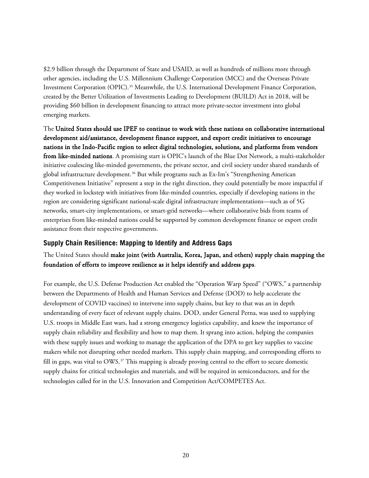\$2.9 billion through the Department of State and USAID, as well as hundreds of millions more through other agencies, including the U.S. Millennium Challenge Corporation (MCC) and the Overseas Private Investment Corporation (OPIC).[35](#page-36-7) Meanwhile, the U.S. International Development Finance Corporation, created by the Better Utilization of Investments Leading to Development (BUILD) Act in 2018, will be providing \$60 billion in development financing to attract more private-sector investment into global emerging markets.

The United States should use IPEF to continue to work with these nations on collaborative international development aid/assistance, development finance support, and export credit initiatives to encourage nations in the Indo-Pacific region to select digital technologies, solutions, and platforms from vendors from like-minded nations. A promising start is OPIC's launch of the Blue Dot Network, a multi-stakeholder initiative coalescing like-minded governments, the private sector, and civil society under shared standards of global infrastructure development.[36](#page-36-8) But while programs such as Ex-Im's "Strengthening American Competitiveness Initiative" represent a step in the right direction, they could potentially be more impactful if they worked in lockstep with initiatives from like-minded countries, especially if developing nations in the region are considering significant national-scale digital infrastructure implementations—such as of 5G networks, smart-city implementations, or smart-grid networks—where collaborative bids from teams of enterprises from like-minded nations could be supported by common development finance or export credit assistance from their respective governments.

# <span id="page-19-0"></span>**Supply Chain Resilience: Mapping to Identify and Address Gaps**

# The United States should make joint (with Australia, Korea, Japan, and others) supply chain mapping the foundation of efforts to improve resilience as it helps identify and address gaps.

For example, the U.S. Defense Production Act enabled the "Operation Warp Speed" ("OWS," a partnership between the Departments of Health and Human Services and Defense (DOD) to help accelerate the development of COVID vaccines) to intervene into supply chains, but key to that was an in depth understanding of every facet of relevant supply chains. DOD, under General Perna, was used to supplying U.S. troops in Middle East wars, had a strong emergency logistics capability, and knew the importance of supply chain reliability and flexibility and how to map them. It sprang into action, helping the companies with these supply issues and working to manage the application of the DPA to get key supplies to vaccine makers while not disrupting other needed markets. This supply chain mapping, and corresponding efforts to fill in gaps, was vital to  $\text{OWS}.37$  $\text{OWS}.37$  This mapping is already proving central to the effort to secure domestic supply chains for critical technologies and materials, and will be required in semiconductors, and for the technologies called for in the U.S. Innovation and Competition Act/COMPETES Act.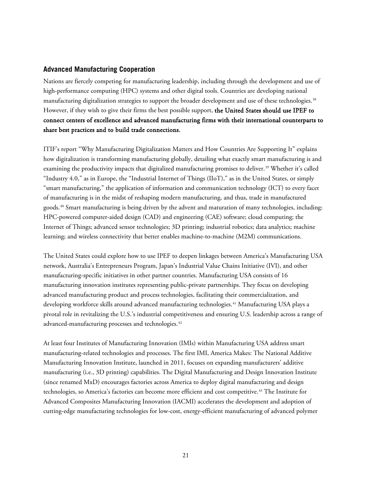#### <span id="page-20-0"></span>**Advanced Manufacturing Cooperation**

Nations are fiercely competing for manufacturing leadership, including through the development and use of high-performance computing (HPC) systems and other digital tools. Countries are developing national manufacturing digitalization strategies to support the broader development and use of these technologies.[38](#page-36-10) However, if they wish to give their firms the best possible support, the United States should use IPEF to connect centers of excellence and advanced manufacturing firms with their international counterparts to share best practices and to build trade connections.

ITIF's report "Why Manufacturing Digitalization Matters and How Countries Are Supporting It" explains how digitalization is transforming manufacturing globally, detailing what exactly smart manufacturing is and examining the productivity impacts that digitalized manufacturing promises to deliver.<sup>[39](#page-36-11)</sup> Whether it's called "Industry 4.0," as in Europe, the "Industrial Internet of Things (IIoT)," as in the United States, or simply "smart manufacturing," the application of information and communication technology (ICT) to every facet of manufacturing is in the midst of reshaping modern manufacturing, and thus, trade in manufactured goods. [40](#page-36-12) Smart manufacturing is being driven by the advent and maturation of many technologies, including: HPC-powered computer-aided design (CAD) and engineering (CAE) software; cloud computing; the Internet of Things; advanced sensor technologies; 3D printing; industrial robotics; data analytics; machine learning; and wireless connectivity that better enables machine-to-machine (M2M) communications.

The United States could explore how to use IPEF to deepen linkages between America's Manufacturing USA network, Australia's Entrepreneurs Program, Japan's Industrial Value Chains Initiative (IVI), and other manufacturing-specific initiatives in other partner countries. Manufacturing USA consists of 16 manufacturing innovation institutes representing public-private partnerships. They focus on developing advanced manufacturing product and process technologies, facilitating their commercialization, and developing workforce skills around advanced manufacturing technologies.[41](#page-36-13) Manufacturing USA plays a pivotal role in revitalizing the U.S.'s industrial competitiveness and ensuring U.S. leadership across a range of advanced-manufacturing processes and technologies.<sup>[42](#page-36-14)</sup>

At least four Institutes of Manufacturing Innovation (IMIs) within Manufacturing USA address smart manufacturing-related technologies and processes. The first IMI, America Makes: The National Additive Manufacturing Innovation Institute, launched in 2011, focuses on expanding manufacturers' additive manufacturing (i.e., 3D printing) capabilities. The Digital Manufacturing and Design Innovation Institute (since renamed MxD) encourages factories across America to deploy digital manufacturing and design technologies, so America's factories can become more efficient and cost competitive.[43](#page-36-15) The Institute for Advanced Composites Manufacturing Innovation (IACMI) accelerates the development and adoption of cutting-edge manufacturing technologies for low-cost, energy-efficient manufacturing of advanced polymer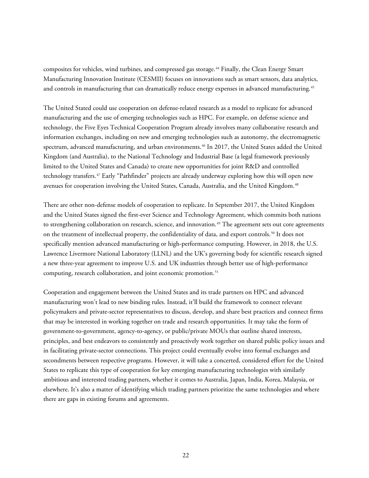composites for vehicles, wind turbines, and compressed gas storage.<sup>[44](#page-36-16)</sup> Finally, the Clean Energy Smart Manufacturing Innovation Institute (CESMII) focuses on innovations such as smart sensors, data analytics, and controls in manufacturing that can dramatically reduce energy expenses in advanced manufacturing.<sup>[45](#page-36-17)</sup>

The United Stated could use cooperation on defense-related research as a model to replicate for advanced manufacturing and the use of emerging technologies such as HPC. For example, on defense science and technology, the Five Eyes Technical Cooperation Program already involves many collaborative research and information exchanges, including on new and emerging technologies such as autonomy, the electromagnetic spectrum, advanced manufacturing, and urban environments.[46](#page-36-18) In 2017, the United States added the United Kingdom (and Australia), to the National Technology and Industrial Base (a legal framework previously limited to the United States and Canada) to create new opportunities for joint R&D and controlled technology transfers. [47](#page-36-19) Early "Pathfinder" projects are already underway exploring how this will open new avenues for cooperation involving the United States, Canada, Australia, and the United Kingdom.<sup>[48](#page-36-20)</sup>

There are other non-defense models of cooperation to replicate. In September 2017, the United Kingdom and the United States signed the first-ever Science and Technology Agreement, which commits both nations to strengthening collaboration on research, science, and innovation. [49](#page-37-0) The agreement sets out core agreements on the treatment of intellectual property, the confidentiality of data, and export controls.<sup>[50](#page-37-1)</sup> It does not specifically mention advanced manufacturing or high-performance computing. However, in 2018, the U.S. Lawrence Livermore National Laboratory (LLNL) and the UK's governing body for scientific research signed a new three-year agreement to improve U.S. and UK industries through better use of high-performance computing, research collaboration, and joint economic promotion. [51](#page-37-2)

Cooperation and engagement between the United States and its trade partners on HPC and advanced manufacturing won't lead to new binding rules. Instead, it'll build the framework to connect relevant policymakers and private-sector representatives to discuss, develop, and share best practices and connect firms that may be interested in working together on trade and research opportunities. It may take the form of government-to-government, agency-to-agency, or public/private MOUs that outline shared interests, principles, and best endeavors to consistently and proactively work together on shared public policy issues and in facilitating private-sector connections. This project could eventually evolve into formal exchanges and secondments between respective programs. However, it will take a concerted, considered effort for the United States to replicate this type of cooperation for key emerging manufacturing technologies with similarly ambitious and interested trading partners, whether it comes to Australia, Japan, India, Korea, Malaysia, or elsewhere. It's also a matter of identifying which trading partners prioritize the same technologies and where there are gaps in existing forums and agreements.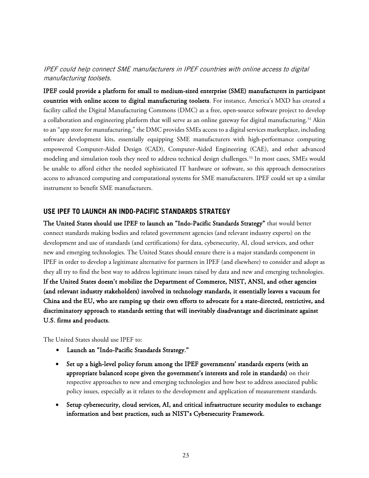# IPEF could help connect SME manufacturers in IPEF countries with online access to digital manufacturing toolsets.

IPEF could provide a platform for small to medium-sized enterprise (SME) manufacturers in participant countries with online access to digital manufacturing toolsets. For instance, America's MXD has created a facility called the Digital Manufacturing Commons (DMC) as a free, open-source software project to develop a collaboration and engineering platform that will serve as an online gateway for digital manufacturing.<sup>[52](#page-37-3)</sup> Akin to an "app store for manufacturing," the DMC provides SMEs access to a digital services marketplace, including software development kits, essentially equipping SME manufacturers with high-performance computing empowered Computer-Aided Design (CAD), Computer-Aided Engineering (CAE), and other advanced modeling and simulation tools they need to address technical design challenges.[53](#page-37-4) In most cases, SMEs would be unable to afford either the needed sophisticated IT hardware or software, so this approach democratizes access to advanced computing and computational systems for SME manufacturers. IPEF could set up a similar instrument to benefit SME manufacturers.

## <span id="page-22-0"></span>**USE IPEF TO LAUNCH AN INDO-PACIFIC STANDARDS STRATEGY**

The United States should use IPEF to launch an "Indo-Pacific Standards Strategy" that would better connect standards making bodies and related government agencies (and relevant industry experts) on the development and use of standards (and certifications) for data, cybersecurity, AI, cloud services, and other new and emerging technologies. The United States should ensure there is a major standards component in IPEF in order to develop a legitimate alternative for partners in IPEF (and elsewhere) to consider and adopt as they all try to find the best way to address legitimate issues raised by data and new and emerging technologies. If the United States doesn't mobilize the Department of Commerce, NIST, ANSI, and other agencies (and relevant industry stakeholders) involved in technology standards, it essentially leaves a vacuum for China and the EU, who are ramping up their own efforts to advocate for a state-directed, restrictive, and discriminatory approach to standards setting that will inevitably disadvantage and discriminate against U.S. firms and products.

The United States should use IPEF to:

- Launch an "Indo-Pacific Standards Strategy."
- Set up a high-level policy forum among the IPEF governments' standards experts (with an appropriate balanced scope given the government's interests and role in standards) on their respective approaches to new and emerging technologies and how best to address associated public policy issues, especially as it relates to the development and application of measurement standards.
- Setup cybersecurity, cloud services, AI, and critical infrastructure security modules to exchange information and best practices, such as NIST's Cybersecurity Framework.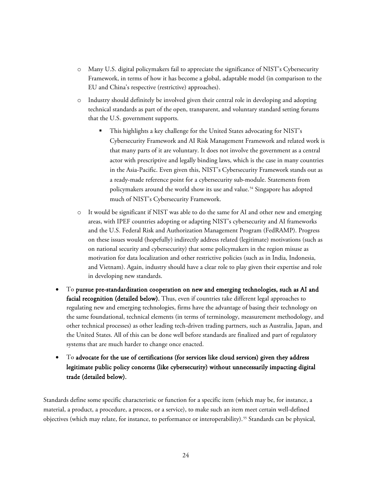- o Many U.S. digital policymakers fail to appreciate the significance of NIST's Cybersecurity Framework, in terms of how it has become a global, adaptable model (in comparison to the EU and China's respective (restrictive) approaches).
- o Industry should definitely be involved given their central role in developing and adopting technical standards as part of the open, transparent, and voluntary standard setting forums that the U.S. government supports.
	- This highlights a key challenge for the United States advocating for NIST's Cybersecurity Framework and AI Risk Management Framework and related work is that many parts of it are voluntary. It does not involve the government as a central actor with prescriptive and legally binding laws, which is the case in many countries in the Asia-Pacific. Even given this, NIST's Cybersecurity Framework stands out as a ready-made reference point for a cybersecurity sub-module. Statements from policymakers around the world show its use and value.<sup>[54](#page-37-5)</sup> Singapore has adopted much of NIST's Cybersecurity Framework.
- o It would be significant if NIST was able to do the same for AI and other new and emerging areas, with IPEF countries adopting or adapting NIST's cybersecurity and AI frameworks and the U.S. Federal Risk and Authorization Management Program (FedRAMP). Progress on these issues would (hopefully) indirectly address related (legitimate) motivations (such as on national security and cybersecurity) that some policymakers in the region misuse as motivation for data localization and other restrictive policies (such as in India, Indonesia, and Vietnam). Again, industry should have a clear role to play given their expertise and role in developing new standards.
- To pursue pre-standardization cooperation on new and emerging technologies, such as AI and facial recognition (detailed below). Thus, even if countries take different legal approaches to regulating new and emerging technologies, firms have the advantage of basing their technology on the same foundational, technical elements (in terms of terminology, measurement methodology, and other technical processes) as other leading tech-driven trading partners, such as Australia, Japan, and the United States. All of this can be done well before standards are finalized and part of regulatory systems that are much harder to change once enacted.
- To advocate for the use of certifications (for services like cloud services) given they address legitimate public policy concerns (like cybersecurity) without unnecessarily impacting digital trade (detailed below).

Standards define some specific characteristic or function for a specific item (which may be, for instance, a material, a product, a procedure, a process, or a service), to make such an item meet certain well-defined objectives (which may relate, for instance, to performance or interoperability).<sup>[55](#page-37-6)</sup> Standards can be physical,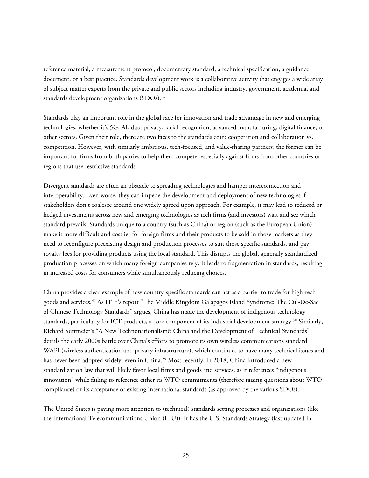reference material, a measurement protocol, documentary standard, a technical specification, a guidance document, or a best practice. Standards development work is a collaborative activity that engages a wide array of subject matter experts from the private and public sectors including industry, government, academia, and standards development organizations (SDOs).<sup>[56](#page-37-7)</sup>

Standards play an important role in the global race for innovation and trade advantage in new and emerging technologies, whether it's 5G, AI, data privacy, facial recognition, advanced manufacturing, digital finance, or other sectors. Given their role, there are two faces to the standards coin: cooperation and collaboration vs. competition. However, with similarly ambitious, tech-focused, and value-sharing partners, the former can be important for firms from both parties to help them compete, especially against firms from other countries or regions that use restrictive standards.

Divergent standards are often an obstacle to spreading technologies and hamper interconnection and interoperability. Even worse, they can impede the development and deployment of new technologies if stakeholders don't coalesce around one widely agreed upon approach. For example, it may lead to reduced or hedged investments across new and emerging technologies as tech firms (and investors) wait and see which standard prevails. Standards unique to a country (such as China) or region (such as the European Union) make it more difficult and costlier for foreign firms and their products to be sold in those markets as they need to reconfigure preexisting design and production processes to suit those specific standards, and pay royalty fees for providing products using the local standard. This disrupts the global, generally standardized production processes on which many foreign companies rely. It leads to fragmentation in standards, resulting in increased costs for consumers while simultaneously reducing choices.

China provides a clear example of how country-specific standards can act as a barrier to trade for high-tech goods and services.[57](#page-37-8) As ITIF's report "The Middle Kingdom Galapagos Island Syndrome: The Cul-De-Sac of Chinese Technology Standards" argues, China has made the development of indigenous technology standards, particularly for ICT products, a core component of its industrial development strategy.<sup>[58](#page-37-9)</sup> Similarly, Richard Suttmeier's "A New Technonationalism?: China and the Development of Technical Standards" details the early 2000s battle over China's efforts to promote its own wireless communications standard WAPI (wireless authentication and privacy infrastructure), which continues to have many technical issues and has never been adopted widely, even in China.<sup>[59](#page-37-10)</sup> Most recently, in 2018, China introduced a new standardization law that will likely favor local firms and goods and services, as it references "indigenous innovation" while failing to reference either its WTO commitments (therefore raising questions about WTO compliance) or its acceptance of existing international standards (as approved by the various SDOs).<sup>[60](#page-37-11)</sup>

The United States is paying more attention to (technical) standards setting processes and organizations (like the International Telecommunications Union (ITU)). It has the U.S. Standards Strategy (last updated in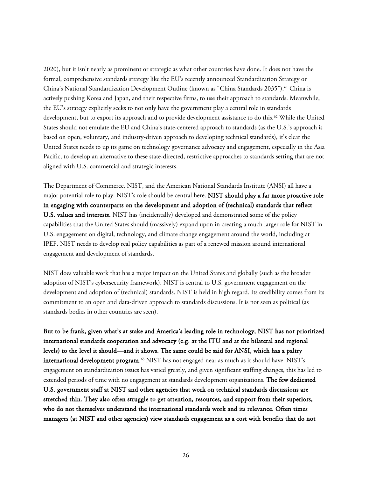2020), but it isn't nearly as prominent or strategic as what other countries have done. It does not have the formal, comprehensive standards strategy like the EU's recently announced Standardization Strategy or China's National Standardization Development Outline (known as "China Standards 2035").<sup>[61](#page-37-12)</sup> China is actively pushing Korea and Japan, and their respective firms, to use their approach to standards. Meanwhile, the EU's strategy explicitly seeks to not only have the government play a central role in standards development, but to export its approach and to provide development assistance to do this.<sup>[62](#page-37-13)</sup> While the United States should not emulate the EU and China's state-centered approach to standards (as the U.S.'s approach is based on open, voluntary, and industry-driven approach to developing technical standards), it's clear the United States needs to up its game on technology governance advocacy and engagement, especially in the Asia Pacific, to develop an alternative to these state-directed, restrictive approaches to standards setting that are not aligned with U.S. commercial and strategic interests.

The Department of Commerce, NIST, and the American National Standards Institute (ANSI) all have a major potential role to play. NIST's role should be central here. NIST should play a far more proactive role in engaging with counterparts on the development and adoption of (technical) standards that reflect U.S. values and interests. NIST has (incidentally) developed and demonstrated some of the policy capabilities that the United States should (massively) expand upon in creating a much larger role for NIST in U.S. engagement on digital, technology, and climate change engagement around the world, including at IPEF. NIST needs to develop real policy capabilities as part of a renewed mission around international engagement and development of standards.

NIST does valuable work that has a major impact on the United States and globally (such as the broader adoption of NIST's cybersecurity framework). NIST is central to U.S. government engagement on the development and adoption of (technical) standards. NIST is held in high regard. Its credibility comes from its commitment to an open and data-driven approach to standards discussions. It is not seen as political (as standards bodies in other countries are seen).

But to be frank, given what's at stake and America's leading role in technology, NIST has not prioritized international standards cooperation and advocacy (e.g. at the ITU and at the bilateral and regional levels) to the level it should—and it shows. The same could be said for ANSI, which has a paltry  $\,$ international development program. $^{63}$  $^{63}$  $^{63}$  NIST has not engaged near as much as it should have. NIST's  $\,$ engagement on standardization issues has varied greatly, and given significant staffing changes, this has led to extended periods of time with no engagement at standards development organizations. The few dedicated U.S. government staff at NIST and other agencies that work on technical standards discussions are stretched thin. They also often struggle to get attention, resources, and support from their superiors, who do not themselves understand the international standards work and its relevance. Often times managers (at NIST and other agencies) view standards engagement as a cost with benefits that do not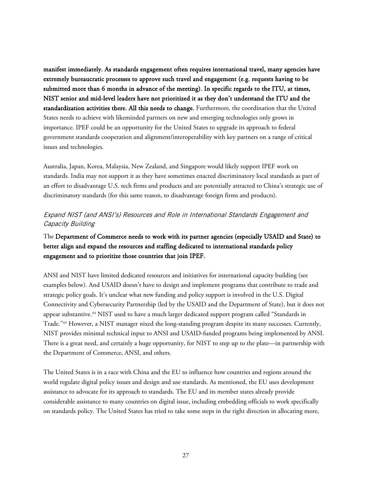manifest immediately. As standards engagement often requires international travel, many agencies have extremely bureaucratic processes to approve such travel and engagement (e.g. requests having to be submitted more than 6 months in advance of the meeting). In specific regards to the ITU, at times, NIST senior and mid-level leaders have not prioritized it as they don't understand the ITU and the standardization activities there. All this needs to change. Furthermore, the coordination that the United States needs to achieve with likeminded partners on new and emerging technologies only grows in importance. IPEF could be an opportunity for the United States to upgrade its approach to federal government standards cooperation and alignment/interoperability with key partners on a range of critical issues and technologies.

Australia, Japan, Korea, Malaysia, New Zealand, and Singapore would likely support IPEF work on standards. India may not support it as they have sometimes enacted discriminatory local standards as part of an effort to disadvantage U.S. tech firms and products and are potentially attracted to China's strategic use of discriminatory standards (for this same reason, to disadvantage foreign firms and products).

# Expand NIST (and ANSI's) Resources and Role in International Standards Engagement and Capacity Building

# The Department of Commerce needs to work with its partner agencies (especially USAID and State) to better align and expand the resources and staffing dedicated to international standards policy engagement and to prioritize those countries that join IPEF.

ANSI and NIST have limited dedicated resources and initiatives for international capacity building (see examples below). And USAID doesn't have to design and implement programs that contribute to trade and strategic policy goals. It's unclear what new funding and policy support is involved in the U.S. Digital Connectivity and Cybersecurity Partnership (led by the USAID and the Department of State), but it does not appear substantive.[64](#page-37-15) NIST used to have a much larger dedicated support program called "Standards in Trade."[65](#page-37-16) However, a NIST manager nixed the long-standing program despite its many successes. Currently, NIST provides minimal technical input to ANSI and USAID-funded programs being implemented by ANSI. There is a great need, and certainly a huge opportunity, for NIST to step up to the plate—in partnership with the Department of Commerce, ANSI, and others.

The United States is in a race with China and the EU to influence how countries and regions around the world regulate digital policy issues and design and use standards. As mentioned, the EU uses development assistance to advocate for its approach to standards. The EU and its member states already provide considerable assistance to many countries on digital issue, including embedding officials to work specifically on standards policy. The United States has tried to take some steps in the right direction in allocating more,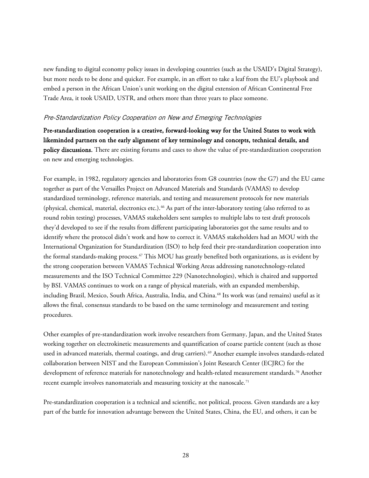new funding to digital economy policy issues in developing countries (such as the USAID's Digital Strategy), but more needs to be done and quicker. For example, in an effort to take a leaf from the EU's playbook and embed a person in the African Union's unit working on the digital extension of African Continental Free Trade Area, it took USAID, USTR, and others more than three years to place someone.

#### Pre-Standardization Policy Cooperation on New and Emerging Technologies

Pre-standardization cooperation is a creative, forward-looking way for the United States to work with likeminded partners on the early alignment of key terminology and concepts, technical details, and policy discussions. There are existing forums and cases to show the value of pre-standardization cooperation on new and emerging technologies.

For example, in 1982, regulatory agencies and laboratories from G8 countries (now the G7) and the EU came together as part of the Versailles Project on Advanced Materials and Standards (VAMAS) to develop standardized terminology, reference materials, and testing and measurement protocols for new materials (physical, chemical, material, electronics etc.). [66](#page-37-17) As part of the inter-laboratory testing (also referred to as round robin testing) processes, VAMAS stakeholders sent samples to multiple labs to test draft protocols they'd developed to see if the results from different participating laboratories got the same results and to identify where the protocol didn't work and how to correct it. VAMAS stakeholders had an MOU with the International Organization for Standardization (ISO) to help feed their pre-standardization cooperation into the formal standards-making process.[67](#page-37-18) This MOU has greatly benefited both organizations, as is evident by the strong cooperation between VAMAS Technical Working Areas addressing nanotechnology-related measurements and the ISO Technical Committee 229 (Nanotechnologies), which is chaired and supported by BSI. VAMAS continues to work on a range of physical materials, with an expanded membership, including Brazil, Mexico, South Africa, Australia, India, and China.<sup>[68](#page-38-0)</sup> Its work was (and remains) useful as it allows the final, consensus standards to be based on the same terminology and measurement and testing procedures.

Other examples of pre-standardization work involve researchers from Germany, Japan, and the United States working together on electrokinetic measurements and quantification of coarse particle content (such as those used in advanced materials, thermal coatings, and drug carriers).<sup>[69](#page-38-1)</sup> Another example involves standards-related collaboration between NIST and the European Commission's Joint Research Center (ECJRC) for the development of reference materials for nanotechnology and health-related measurement standards.[70](#page-38-2) Another recent example involves nanomaterials and measuring toxicity at the nanoscale.<sup>[71](#page-38-3)</sup>

Pre-standardization cooperation is a technical and scientific, not political, process. Given standards are a key part of the battle for innovation advantage between the United States, China, the EU, and others, it can be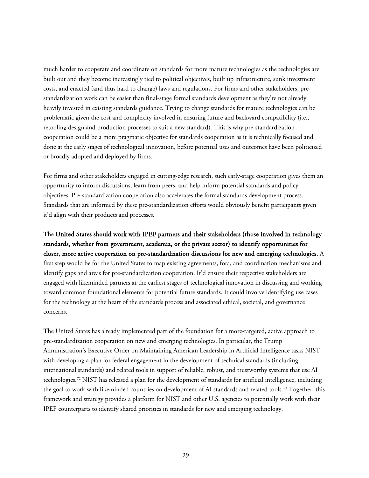much harder to cooperate and coordinate on standards for more mature technologies as the technologies are built out and they become increasingly tied to political objectives, built up infrastructure, sunk investment costs, and enacted (and thus hard to change) laws and regulations. For firms and other stakeholders, prestandardization work can be easier than final-stage formal standards development as they're not already heavily invested in existing standards guidance. Trying to change standards for mature technologies can be problematic given the cost and complexity involved in ensuring future and backward compatibility (i.e., retooling design and production processes to suit a new standard). This is why pre-standardization cooperation could be a more pragmatic objective for standards cooperation as it is technically focused and done at the early stages of technological innovation, before potential uses and outcomes have been politicized or broadly adopted and deployed by firms.

For firms and other stakeholders engaged in cutting-edge research, such early-stage cooperation gives them an opportunity to inform discussions, learn from peers, and help inform potential standards and policy objectives. Pre-standardization cooperation also accelerates the formal standards development process. Standards that are informed by these pre-standardization efforts would obviously benefit participants given it'd align with their products and processes.

The United States should work with IPEF partners and their stakeholders (those involved in technology standards, whether from government, academia, or the private sector) to identify opportunities for closer, more active cooperation on pre-standardization discussions for new and emerging technologies. A first step would be for the United States to map existing agreements, fora, and coordination mechanisms and identify gaps and areas for pre-standardization cooperation. It'd ensure their respective stakeholders are engaged with likeminded partners at the earliest stages of technological innovation in discussing and working toward common foundational elements for potential future standards. It could involve identifying use cases for the technology at the heart of the standards process and associated ethical, societal, and governance concerns.

The United States has already implemented part of the foundation for a more-targeted, active approach to pre-standardization cooperation on new and emerging technologies. In particular, the Trump Administration's Executive Order on Maintaining American Leadership in Artificial Intelligence tasks NIST with developing a plan for federal engagement in the development of technical standards (including international standards) and related tools in support of reliable, robust, and trustworthy systems that use AI technologies. [72](#page-38-4) NIST has released a plan for the development of standards for artificial intelligence, including the goal to work with likeminded countries on development of AI standards and related tools.[73](#page-38-5) Together, this framework and strategy provides a platform for NIST and other U.S. agencies to potentially work with their IPEF counterparts to identify shared priorities in standards for new and emerging technology.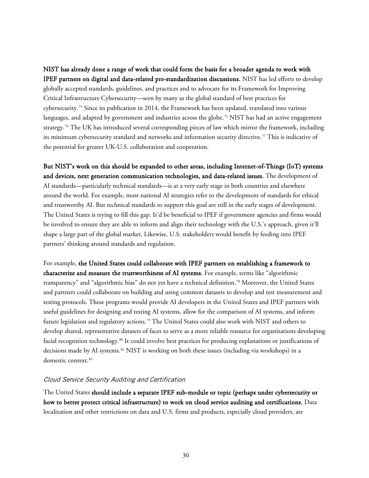NIST has already done a range of work that could form the basis for a broader agenda to work with IPEF partners on digital and data-related pre-standardization discussions. NIST has led efforts to develop globally accepted standards, guidelines, and practices and to advocate for its Framework for Improving Critical Infrastructure Cybersecurity—seen by many as the global standard of best practices for cybersecurity.<sup>[74](#page-38-6)</sup> Since its publication in 2014, the Framework has been updated, translated into various languages, and adapted by government and industries across the globe. [75](#page-38-7) NIST has had an active engagement strategy. [76](#page-38-8) The UK has introduced several corresponding pieces of law which mirror the framework, including its minimum cybersecurity standard and networks and information security directive.[77](#page-38-9) This is indicative of the potential for greater UK-U.S. collaboration and cooperation.

But NIST's work on this should be expanded to other areas, including Internet-of-Things (IoT) systems and devices, next generation communication technologies, and data-related issues. The development of AI standards—particularly technical standards—is at a very early stage in both countries and elsewhere around the world. For example, most national AI strategies refer to the development of standards for ethical and trustworthy AI. But technical standards to support this goal are still in the early stages of development. The United States is trying to fill this gap. It'd be beneficial to IPEF if government agencies and firms would be involved to ensure they are able to inform and align their technology with the U.S.'s approach, given it'll shape a large part of the global market. Likewise, U.S. stakeholders would benefit by feeding into IPEF partners' thinking around standards and regulation.

For example, the United States could collaborate with IPEF partners on establishing a framework to characterize and measure the trustworthiness of AI systems. For example, terms like "algorithmic transparency" and "algorithmic bias" do not yet have a technical definition.[78](#page-38-10) Moreover, the United States and partners could collaborate on building and using common datasets to develop and test measurement and testing protocols. These programs would provide AI developers in the United States and IPEF partners with useful guidelines for designing and testing AI systems, allow for the comparison of AI systems, and inform future legislation and regulatory actions.[79](#page-38-11) The United States could also work with NIST and others to develop shared, representative datasets of faces to serve as a more reliable resource for organizations developing facial recognition technology.[80](#page-38-12) It could involve best practices for producing explanations or justifications of decisions made by AI systems.[81](#page-38-13) NIST is working on both these issues (including via workshops) in a domestic context.<sup>[82](#page-38-14)</sup>

#### Cloud Service Security Auditing and Certification

The United States should include a separate IPEF sub-module or topic (perhaps under cybersecurity or how to better protect critical infrastructure) to work on cloud service auditing and certifications. Data localization and other restrictions on data and U.S. firms and products, especially cloud providers, are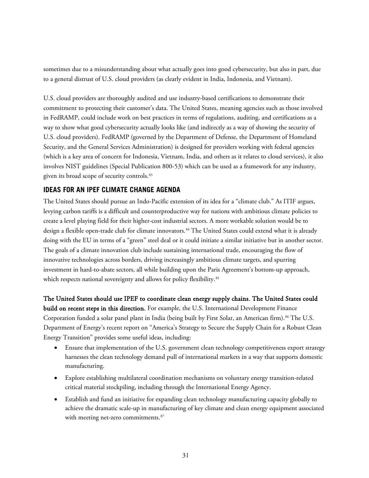sometimes due to a misunderstanding about what actually goes into good cybersecurity, but also in part, due to a general distrust of U.S. cloud providers (as clearly evident in India, Indonesia, and Vietnam).

U.S. cloud providers are thoroughly audited and use industry-based certifications to demonstrate their commitment to protecting their customer's data. The United States, meaning agencies such as those involved in FedRAMP, could include work on best practices in terms of regulations, auditing, and certifications as a way to show what good cybersecurity actually looks like (and indirectly as a way of showing the security of U.S. cloud providers). FedRAMP (governed by the Department of Defense, the Department of Homeland Security, and the General Services Administration) is designed for providers working with federal agencies (which is a key area of concern for Indonesia, Vietnam, India, and others as it relates to cloud services), it also involves NIST guidelines (Special Publication 800-53) which can be used as a framework for any industry, given its broad scope of security controls.<sup>[83](#page-38-15)</sup>

#### <span id="page-30-0"></span>**IDEAS FOR AN IPEF CLIMATE CHANGE AGENDA**

The United States should pursue an Indo-Pacific extension of its idea for a "climate club." As ITIF argues, levying carbon tariffs is a difficult and counterproductive way for nations with ambitious climate policies to create a level playing field for their higher-cost industrial sectors. A more workable solution would be to design a flexible open-trade club for climate innovators.<sup>[84](#page-38-16)</sup> The United States could extend what it is already doing with the EU in terms of a "green" steel deal or it could initiate a similar initiative but in another sector. The goals of a climate innovation club include sustaining international trade, encouraging the flow of innovative technologies across borders, driving increasingly ambitious climate targets, and spurring investment in hard-to-abate sectors, all while building upon the Paris Agreement's bottom-up approach, which respects national sovereignty and allows for policy flexibility.<sup>[85](#page-39-0)</sup>

The United States should use IPEF to coordinate clean energy supply chains. The United States could build on recent steps in this direction. For example, the U.S. International Development Finance Corporation funded a solar panel plant in India (being built by First Solar, an American firm).<sup>[86](#page-39-1)</sup> The U.S. Department of Energy's recent report on "America's Strategy to Secure the Supply Chain for a Robust Clean Energy Transition" provides some useful ideas, including:

- Ensure that implementation of the U.S. government clean technology competitiveness export strategy harnesses the clean technology demand pull of international markets in a way that supports domestic manufacturing.
- Explore establishing multilateral coordination mechanisms on voluntary energy transition-related critical material stockpiling, including through the International Energy Agency.
- Establish and fund an initiative for expanding clean technology manufacturing capacity globally to achieve the dramatic scale-up in manufacturing of key climate and clean energy equipment associated with meeting net-zero commitments.<sup>[87](#page-39-2)</sup>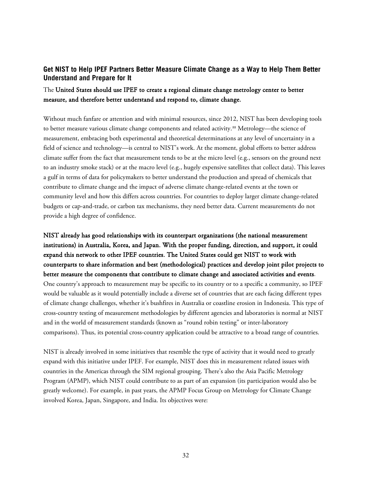# <span id="page-31-0"></span>**Get NIST to Help IPEF Partners Better Measure Climate Change as a Way to Help Them Better Understand and Prepare for It**

# The United States should use IPEF to create a regional climate change metrology center to better measure, and therefore better understand and respond to, climate change.

Without much fanfare or attention and with minimal resources, since 2012, NIST has been developing tools to better measure various climate change components and related activity.<sup>[88](#page-39-3)</sup> Metrology—the science of measurement, embracing both experimental and theoretical determinations at any level of uncertainty in a field of science and technology—is central to NIST's work. At the moment, global efforts to better address climate suffer from the fact that measurement tends to be at the micro level (e.g., sensors on the ground next to an industry smoke stack) or at the macro level (e.g., hugely expensive satellites that collect data). This leaves a gulf in terms of data for policymakers to better understand the production and spread of chemicals that contribute to climate change and the impact of adverse climate change-related events at the town or community level and how this differs across countries. For countries to deploy larger climate change-related budgets or cap-and-trade, or carbon tax mechanisms, they need better data. Current measurements do not provide a high degree of confidence.

NIST already has good relationships with its counterpart organizations (the national measurement institutions) in Australia, Korea, and Japan. With the proper funding, direction, and support, it could expand this network to other IPEF countries. The United States could get NIST to work with counterparts to share information and best (methodological) practices and develop joint pilot projects to better measure the components that contribute to climate change and associated activities and events. One country's approach to measurement may be specific to its country or to a specific a community, so IPEF would be valuable as it would potentially include a diverse set of countries that are each facing different types of climate change challenges, whether it's bushfires in Australia or coastline erosion in Indonesia. This type of cross-country testing of measurement methodologies by different agencies and laboratories is normal at NIST and in the world of measurement standards (known as "round robin testing" or inter-laboratory comparisons). Thus, its potential cross-country application could be attractive to a broad range of countries.

NIST is already involved in some initiatives that resemble the type of activity that it would need to greatly expand with this initiative under IPEF. For example, NIST does this in measurement related issues with countries in the Americas through the SIM regional grouping. There's also the Asia Pacific Metrology Program (APMP), which NIST could contribute to as part of an expansion (its participation would also be greatly welcome). For example, in past years, the APMP Focus Group on Metrology for Climate Change involved Korea, Japan, Singapore, and India. Its objectives were: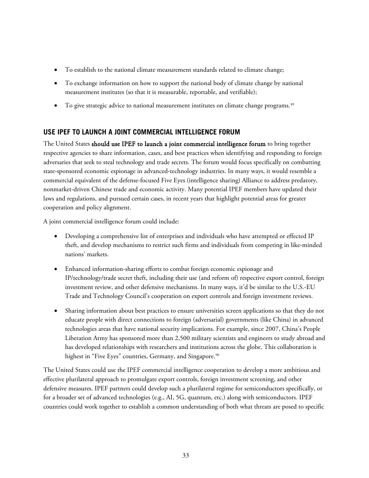- To establish to the national climate measurement standards related to climate change;
- To exchange information on how to support the national body of climate change by national measurement institutes (so that it is measurable, reportable, and verifiable);
- To give strategic advice to national measurement institutes on climate change programs.<sup>[89](#page-39-4)</sup>

# <span id="page-32-0"></span>**USE IPEF TO LAUNCH A JOINT COMMERCIAL INTELLIGENCE FORUM**

The United States should use IPEF to launch a joint commercial intelligence forum to bring together respective agencies to share information, cases, and best practices when identifying and responding to foreign adversaries that seek to steal technology and trade secrets. The forum would focus specifically on combatting state-sponsored economic espionage in advanced-technology industries. In many ways, it would resemble a commercial equivalent of the defense-focused Five Eyes (intelligence sharing) Alliance to address predatory, nonmarket-driven Chinese trade and economic activity. Many potential IPEF members have updated their laws and regulations, and pursued certain cases, in recent years that highlight potential areas for greater cooperation and policy alignment.

A joint commercial intelligence forum could include:

- Developing a comprehensive list of enterprises and individuals who have attempted or effected IP theft, and develop mechanisms to restrict such firms and individuals from competing in like-minded nations' markets.
- Enhanced information-sharing efforts to combat foreign economic espionage and IP/technology/trade secret theft, including their use (and reform of) respective export control, foreign investment review, and other defensive mechanisms. In many ways, it'd be similar to the U.S.-EU Trade and Technology Council's cooperation on export controls and foreign investment reviews.
- Sharing information about best practices to ensure universities screen applications so that they do not educate people with direct connections to foreign (adversarial) governments (like China) in advanced technologies areas that have national security implications. For example, since 2007, China's People Liberation Army has sponsored more than 2,500 military scientists and engineers to study abroad and has developed relationships with researchers and institutions across the globe. This collaboration is highest in "Five Eyes" countries, Germany, and Singapore. [90](#page-39-5)

The United States could use the IPEF commercial intelligence cooperation to develop a more ambitious and effective plurilateral approach to promulgate export controls, foreign investment screening, and other defensive measures. IPEF partners could develop such a plurilateral regime for semiconductors specifically, or for a broader set of advanced technologies (e.g., AI, 5G, quantum, etc.) along with semiconductors. IPEF countries could work together to establish a common understanding of both what threats are posed to specific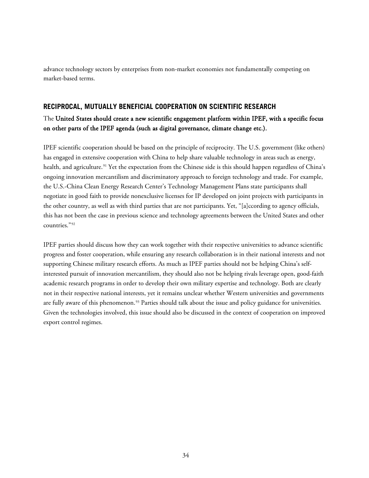advance technology sectors by enterprises from non-market economies not fundamentally competing on market-based terms.

#### <span id="page-33-0"></span>**RECIPROCAL, MUTUALLY BENEFICIAL COOPERATION ON SCIENTIFIC RESEARCH**

# The United States should create a new scientific engagement platform within IPEF, with a specific focus on other parts of the IPEF agenda (such as digital governance, climate change etc.).

IPEF scientific cooperation should be based on the principle of reciprocity. The U.S. government (like others) has engaged in extensive cooperation with China to help share valuable technology in areas such as energy, health, and agriculture.<sup>[91](#page-39-6)</sup> Yet the expectation from the Chinese side is this should happen regardless of China's ongoing innovation mercantilism and discriminatory approach to foreign technology and trade. For example, the U.S.-China Clean Energy Research Center's Technology Management Plans state participants shall negotiate in good faith to provide nonexclusive licenses for IP developed on joint projects with participants in the other country, as well as with third parties that are not participants. Yet, "[a]ccording to agency officials, this has not been the case in previous science and technology agreements between the United States and other countries."[92](#page-39-7)

IPEF parties should discuss how they can work together with their respective universities to advance scientific progress and foster cooperation, while ensuring any research collaboration is in their national interests and not supporting Chinese military research efforts. As much as IPEF parties should not be helping China's selfinterested pursuit of innovation mercantilism, they should also not be helping rivals leverage open, good-faith academic research programs in order to develop their own military expertise and technology. Both are clearly not in their respective national interests, yet it remains unclear whether Western universities and governments are fully aware of this phenomenon.<sup>[93](#page-39-8)</sup> Parties should talk about the issue and policy guidance for universities. Given the technologies involved, this issue should also be discussed in the context of cooperation on improved export control regimes.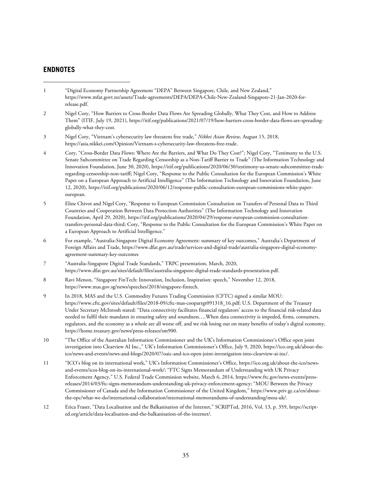#### <span id="page-34-0"></span>**ENDNOTES**

- <span id="page-34-1"></span>1 "Digital Economy Partnership Agreement "DEPA" Between Singapore, Chile, and New Zealand," [https://www.mfat.govt.nz/assets/Trade-agreements/DEPA/DEPA-Chile-New-Zealand-Singapore-21-Jan-2020-for](https://www.mfat.govt.nz/assets/Trade-agreements/DEPA/DEPA-Chile-New-Zealand-Singapore-21-Jan-2020-for-release.pdf)[release.pdf.](https://www.mfat.govt.nz/assets/Trade-agreements/DEPA/DEPA-Chile-New-Zealand-Singapore-21-Jan-2020-for-release.pdf)
- <span id="page-34-2"></span>2 Nigel Cory, "How Barriers to Cross-Border Data Flows Are Spreading Globally, What They Cost, and How to Address Them" (ITIF, July 19, 2021)[, https://itif.org/publications/2021/07/19/how-barriers-cross-border-data-flows-are-spreading](https://itif.org/publications/2021/07/19/how-barriers-cross-border-data-flows-are-spreading-globally-what-they-cost)[globally-what-they-cost.](https://itif.org/publications/2021/07/19/how-barriers-cross-border-data-flows-are-spreading-globally-what-they-cost)
- <span id="page-34-3"></span>3 Nigel Cory, "Vietnam's cybersecurity law threatens free trade," *Nikkei Asian Review,* August 15, 2018, [https://asia.nikkei.com/Opinion/Vietnam-s-cybersecurity-law-threatens-free-trade.](https://asia.nikkei.com/Opinion/Vietnam-s-cybersecurity-law-threatens-free-trade)
- <span id="page-34-4"></span>4 Cory, "Cross-Border Data Flows: Where Are the Barriers, and What Do They Cost?"; Nigel Cory, "Testimony to the U.S. Senate Subcommittee on Trade Regarding Censorship as a Non-Tariff Barrier to Trade" (The Information Technology and Innovation Foundation, June 30, 2020)[, https://itif.org/publications/2020/06/30/testimony-us-senate-subcommittee-trade](https://itif.org/publications/2020/06/30/testimony-us-senate-subcommittee-trade-regarding-censorship-non-tariff)[regarding-censorship-non-tariff;](https://itif.org/publications/2020/06/30/testimony-us-senate-subcommittee-trade-regarding-censorship-non-tariff) Nigel Cory, "Response to the Public Consultation for the European Commission's White Paper on a European Approach to Artificial Intelligence" (The Information Technology and Innovation Foundation, June 12, 2020), [https://itif.org/publications/2020/06/12/response-public-consultation-european-commissions-white-paper](https://itif.org/publications/2020/06/12/response-public-consultation-european-commissions-white-paper-european)[european.](https://itif.org/publications/2020/06/12/response-public-consultation-european-commissions-white-paper-european)
- <span id="page-34-5"></span>5 Eline Chivot and Nigel Cory, "Response to European Commission Consultation on Transfers of Personal Data to Third Countries and Cooperation Between Data Protection Authorities" (The Information Technology and Innovation Foundation, April 29, 2020)[, https://itif.org/publications/2020/04/29/response-european-commission-consultation](https://itif.org/publications/2020/04/29/response-european-commission-consultation-transfers-personal-data-third)[transfers-personal-data-third;](https://itif.org/publications/2020/04/29/response-european-commission-consultation-transfers-personal-data-third) Cory, "Response to the Public Consultation for the European Commission's White Paper on a European Approach to Artificial Intelligence."
- <span id="page-34-6"></span>6 For example, "Australia-Singapore Digital Economy Agreement: summary of key outcomes," Australia's Department of Foreign Affairs and Trade[, https://www.dfat.gov.au/trade/services-and-digital-trade/australia-singapore-digital-economy](https://www.dfat.gov.au/trade/services-and-digital-trade/australia-singapore-digital-economy-agreement-summary-key-outcomes)[agreement-summary-key-outcomes](https://www.dfat.gov.au/trade/services-and-digital-trade/australia-singapore-digital-economy-agreement-summary-key-outcomes)
- <span id="page-34-7"></span>7 "Australia-Singapore Digital Trade Standards," TRPC presentation, March, 2020, [https://www.dfat.gov.au/sites/default/files/australia-singapore-digital-trade-standards-presentation.pdf.](https://www.dfat.gov.au/sites/default/files/australia-singapore-digital-trade-standards-presentation.pdf)
- <span id="page-34-8"></span>8 Ravi Menon, "Singapore FinTech: Innovation, Inclusion, Inspiration: speech," November 12, 2018, [https://www.mas.gov.sg/news/speeches/2018/singapore-fintech.](https://www.mas.gov.sg/news/speeches/2018/singapore-fintech)
- <span id="page-34-9"></span>9 In 2018, MAS and the U.S. Commodity Futures Trading Commission (CFTC) signed a similar MOU: [https://www.cftc.gov/sites/default/files/2018-09/cftc-mas-cooparrgt091318\\_16.pdf;](https://www.cftc.gov/sites/default/files/2018-09/cftc-mas-cooparrgt091318_16.pdf) U.S. Department of the Treasury Under Secretary McIntosh stated: "Data connectivity facilitates financial regulators' access to the financial risk-related data needed to fulfil their mandates in ensuring safety and soundness….When data connectivity is impeded, firms, consumers, regulators, and the economy as a whole are all worse off, and we risk losing out on many benefits of today's digital economy, [https://home.treasury.gov/news/press-releases/sm900.](https://home.treasury.gov/news/press-releases/sm900)
- <span id="page-34-10"></span>10 "The Office of the Australian Information Commissioner and the UK's Information Commissioner's Office open joint investigation into Clearview AI Inc.," UK's Information Commissioner's Office, July 9, 2020[, https://ico.org.uk/about-the](https://ico.org.uk/about-the-ico/news-and-events/news-and-blogs/2020/07/oaic-and-ico-open-joint-investigation-into-clearview-ai-inc/)[ico/news-and-events/news-and-blogs/2020/07/oaic-and-ico-open-joint-investigation-into-clearview-ai-inc/.](https://ico.org.uk/about-the-ico/news-and-events/news-and-blogs/2020/07/oaic-and-ico-open-joint-investigation-into-clearview-ai-inc/)
- <span id="page-34-11"></span>11 "ICO's blog on its international work," UK's Information Commissioner's Office[, https://ico.org.uk/about-the-ico/news](https://ico.org.uk/about-the-ico/news-and-events/icos-blog-on-its-international-work/)[and-events/icos-blog-on-its-international-work/;](https://ico.org.uk/about-the-ico/news-and-events/icos-blog-on-its-international-work/) "FTC Signs Memorandum of Understanding with UK Privacy Enforcement Agency," U.S. Federal Trade Commission website, March 6, 2014, [https://www.ftc.gov/news-events/press](https://www.ftc.gov/news-events/press-releases/2014/03/ftc-signs-memorandum-understanding-uk-privacy-enforcement-agency)[releases/2014/03/ftc-signs-memorandum-understanding-uk-privacy-enforcement-agency;](https://www.ftc.gov/news-events/press-releases/2014/03/ftc-signs-memorandum-understanding-uk-privacy-enforcement-agency) "MOU Between the Privacy Commissioner of Canada and the Information Commissioner of the United Kingdom," [https://www.priv.gc.ca/en/about](https://www.priv.gc.ca/en/about-the-opc/what-we-do/international-collaboration/international-memorandums-of-understanding/mou-uk/)[the-opc/what-we-do/international-collaboration/international-memorandums-of-understanding/mou-uk/.](https://www.priv.gc.ca/en/about-the-opc/what-we-do/international-collaboration/international-memorandums-of-understanding/mou-uk/)
- <span id="page-34-12"></span>12 Erica Fraser, "Data Localisation and the Balkanisation of the Internet," SCRIPTed, 2016, Vol. 13, p. 359, https://scripted.org/article/data-localisation-and-the-balkanisation-of-the-internet/.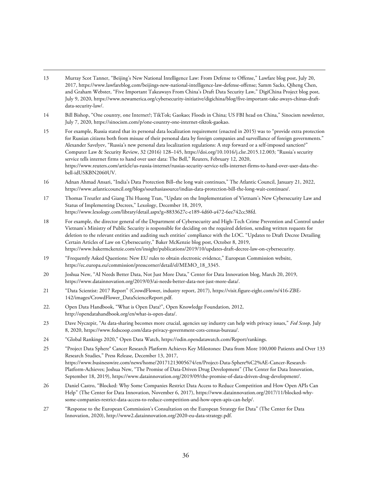- <span id="page-35-0"></span>13 Murray Scot Tanner, "Beijing's New National Intelligence Law: From Defense to Offense," Lawfare blog post, July 20, 2017, https://www.lawfareblog.com/beijings-new-national-intelligence-law-defense-offense; Samm Sacks, Qiheng Chen, and Graham Webster, "Five Important Takeaways From China's Draft Data Security Law," DigiChina Project blog post, July 9, 2020, https://www.newamerica.org/cybersecurity-initiative/digichina/blog/five-important-take-aways-chinas-draftdata-security-law/.
- <span id="page-35-1"></span>14 Bill Bishop, "One country, one Internet?; TikTok; Gaokao; Floods in China; US FBI head on China," Sinocism newsletter, July 7, 2020, https://sinocism.com/p/one-country-one-internet-tiktok-gaokao.
- <span id="page-35-2"></span>15 For example, Russia stated that its personal data localization requirement (enacted in 2015) was to "provide extra protection for Russian citizens both from misuse of their personal data by foreign companies and surveillance of foreign governments." Alexander Savelyev, "Russia's new personal data localization regulations: A step forward or a self-imposed sanction?" Computer Law & Security Review, 32 (2016) 128–145, https://doi.org/10.1016/j.clsr.2015.12.003; "Russia's security service tells internet firms to hand over user data: The Bell," Reuters, February 12, 2020, https://www.reuters.com/article/us-russia-internet/russias-security-service-tells-internet-firms-to-hand-over-user-data-thebell-idUSKBN2060UV.
- <span id="page-35-3"></span>16 Adnan Ahmad Ansari, "India's Data Protection Bill–the long wait continues," The Atlantic Council, January 21, 2022, [https://www.atlanticcouncil.org/blogs/southasiasource/indias-data-protection-bill-the-long-wait-continues/.](https://www.atlanticcouncil.org/blogs/southasiasource/indias-data-protection-bill-the-long-wait-continues/)
- <span id="page-35-4"></span>17 Thomas Treutler and Giang Thi Huong Tran, "Update on the Implementation of Vietnam's New Cybersecurity Law and Status of Implementing Decrees," Lexology, December 18, 2019, https://www.lexology.com/library/detail.aspx?g=8833627c-e189-4d60-a472-6ee742cc38fd.
- <span id="page-35-5"></span>18 For example, the director general of the Department of Cybersecurity and High-Tech Crime Prevention and Control under Vietnam's Ministry of Public Security is responsible for deciding on the required deletion, sending written requests for deletion to the relevant entities and auditing such entities' compliance with the LOC. "Updates to Draft Decree Detailing Certain Articles of Law on Cybersecurity," Baker McKenzie blog post, October 8, 2019, https://www.bakermckenzie.com/en/insight/publications/2019/10/updates-draft-decree-law-on-cybersecurity.
- <span id="page-35-6"></span>19 "Frequently Asked Questions: New EU rules to obtain electronic evidence," European Commission website, https://ec.europa.eu/commission/presscorner/detail/el/MEMO\_18\_3345.
- <span id="page-35-7"></span>20 Joshua New, "AI Needs Better Data, Not Just More Data," Center for Data Innovation blog, March 20, 2019, [https://www.datainnovation.org/2019/03/ai-needs-better-data-not-just-more-data/.](https://www.datainnovation.org/2019/03/ai-needs-better-data-not-just-more-data/)
- <span id="page-35-8"></span>21 "Data Scientist: 2017 Report" (CrowdFlower, industry report, 2017)[, https://visit.figure-eight.com/rs/416-ZBE-](https://visit.figure-eight.com/rs/416-ZBE-142/images/CrowdFlower_DataScienceReport.pdf)[142/images/CrowdFlower\\_DataScienceReport.pdf.](https://visit.figure-eight.com/rs/416-ZBE-142/images/CrowdFlower_DataScienceReport.pdf)
- <span id="page-35-9"></span>22. Open Data Handbook, "What is Open Data?", Open Knowledge Foundation, 2012, [http://opendatahandbook.org/en/what-is-open-data/.](http://opendatahandbook.org/en/what-is-open-data/)
- <span id="page-35-10"></span>23 Dave Nyczepir, "As data-sharing becomes more crucial, agencies say industry can help with privacy issues," *Fed Scoop,* July 8, 2020[, https://www.fedscoop.com/data-privacy-government-cots-census-bureau/.](https://www.fedscoop.com/data-privacy-government-cots-census-bureau/)
- <span id="page-35-11"></span>24 "Global Rankings 2020," Open Data Watch[, https://odin.opendatawatch.com/Report/rankings.](https://odin.opendatawatch.com/Report/rankings)
- <span id="page-35-12"></span>25 "Project Data Sphere® Cancer Research Platform Achieves Key Milestones: Data from More 100,000 Patients and Over 133 Research Studies," Press Release, December 13, 2017, [https://www.businesswire.com/news/home/20171213005674/en/Project-Data-Sphere%C2%AE-Cancer-Research-](https://www.businesswire.com/news/home/20171213005674/en/Project-Data-Sphere%C2%AE-Cancer-Research-Platform-Achieves)[Platform-Achieves;](https://www.businesswire.com/news/home/20171213005674/en/Project-Data-Sphere%C2%AE-Cancer-Research-Platform-Achieves) Joshua New, "The Promise of Data-Driven Drug Development" (The Center for Data Innovation, September 18, 2019), [https://www.datainnovation.org/2019/09/the-promise-of-data-driven-drug-development/.](https://www.datainnovation.org/2019/09/the-promise-of-data-driven-drug-development/)
- <span id="page-35-13"></span>26 Daniel Castro, "Blocked: Why Some Companies Restrict Data Access to Reduce Competition and How Open APIs Can Help" (The Center for Data Innovation, November 6, 2017), [https://www.datainnovation.org/2017/11/blocked-why](https://www.datainnovation.org/2017/11/blocked-why-some-companies-restrict-data-access-to-reduce-competition-and-how-open-apis-can-help/)[some-companies-restrict-data-access-to-reduce-competition-and-how-open-apis-can-help/.](https://www.datainnovation.org/2017/11/blocked-why-some-companies-restrict-data-access-to-reduce-competition-and-how-open-apis-can-help/)
- <span id="page-35-14"></span>27 "Response to the European Commission's Consultation on the European Strategy for Data" (The Center for Data Innovation, 2020)[, http://www2.datainnovation.org/2020-eu-data-strategy.pdf.](http://www2.datainnovation.org/2020-eu-data-strategy.pdf)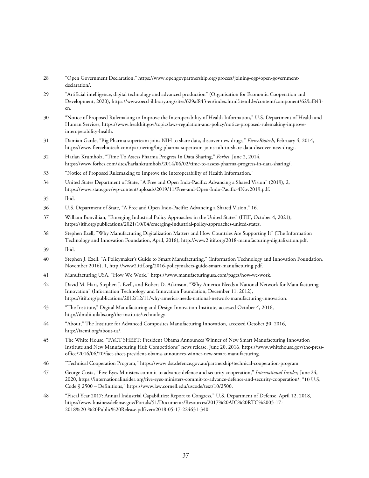<span id="page-36-10"></span><span id="page-36-9"></span><span id="page-36-8"></span><span id="page-36-7"></span><span id="page-36-6"></span><span id="page-36-5"></span><span id="page-36-4"></span><span id="page-36-3"></span><span id="page-36-2"></span><span id="page-36-1"></span><span id="page-36-0"></span>

| 28 | "Open Government Declaration," https://www.opengovpartnership.org/process/joining-ogp/open-government-<br>declaration/.                                                                                                                                                                                                             |
|----|-------------------------------------------------------------------------------------------------------------------------------------------------------------------------------------------------------------------------------------------------------------------------------------------------------------------------------------|
| 29 | "Artificial intelligence, digital technology and advanced production" (Organisation for Economic Cooperation and<br>Development, 2020), https://www.oecd-ilibrary.org/sites/629af843-en/index.html?itemId=/content/component/629af843-<br>en.                                                                                       |
| 30 | "Notice of Proposed Rulemaking to Improve the Interoperability of Health Information," U.S. Department of Health and<br>Human Services, https://www.healthit.gov/topic/laws-regulation-and-policy/notice-proposed-rulemaking-improve-<br>interoperability-health.                                                                   |
| 31 | Damian Garde, "Big Pharma superteam joins NIH to share data, discover new drugs," FierceBiotech, February 4, 2014,<br>https://www.fiercebiotech.com/partnering/big-pharma-superteam-joins-nih-to-share-data-discover-new-drugs.                                                                                                     |
| 32 | Harlan Krumholz, "Time To Assess Pharma Progress In Data Sharing," Forbes, June 2, 2014,<br>https://www.forbes.com/sites/harlankrumholz/2014/06/02/time-to-assess-pharma-progress-in-data-sharing/.                                                                                                                                 |
| 33 | "Notice of Proposed Rulemaking to Improve the Interoperability of Health Information."                                                                                                                                                                                                                                              |
| 34 | United States Department of State, "A Free and Open Indo-Pacific: Advancing a Shared Vision" (2019), 2,<br>https://www.state.gov/wp-content/uploads/2019/11/Free-and-Open-Indo-Pacific-4Nov2019.pdf.                                                                                                                                |
| 35 | Ibid.                                                                                                                                                                                                                                                                                                                               |
| 36 | U.S. Department of State, "A Free and Open Indo-Pacific: Advancing a Shared Vision," 16.                                                                                                                                                                                                                                            |
| 37 | William Bonvillian, "Emerging Industrial Policy Approaches in the United States" (ITIF, October 4, 2021),<br>https://itif.org/publications/2021/10/04/emerging-industrial-policy-approaches-united-states.                                                                                                                          |
| 38 | Stephen Ezell, "Why Manufacturing Digitalization Matters and How Countries Are Supporting It" (The Information<br>Technology and Innovation Foundation, April, 2018), http://www2.itif.org/2018-manufacturing-digitalization.pdf.                                                                                                   |
| 39 | Ibid.                                                                                                                                                                                                                                                                                                                               |
| 40 | Stephen J. Ezell, "A Policymaker's Guide to Smart Manufacturing," (Information Technology and Innovation Foundation,<br>November 2016), 1, http://www2.itif.org/2016-policymakers-guide-smart-manufacturing.pdf.                                                                                                                    |
| 41 | Manufacturing USA, "How We Work," https://www.manufacturingusa.com/pages/how-we-work.                                                                                                                                                                                                                                               |
| 42 | David M. Hart, Stephen J. Ezell, and Robert D. Atkinson, "Why America Needs a National Network for Manufacturing<br>Innovation" (Information Technology and Innovation Foundation, December 11, 2012),<br>https://itif.org/publications/2012/12/11/why-america-needs-national-network-manufacturing-innovation.                     |
| 43 | "The Institute," Digital Manufacturing and Design Innovation Institute, accessed October 4, 2016,<br>http://dmdii.uilabs.org/the-institute/technology.                                                                                                                                                                              |
| 44 | "About," The Institute for Advanced Composites Manufacturing Innovation, accessed October 30, 2016,<br>http://iacmi.org/about-us/.                                                                                                                                                                                                  |
| 45 | The White House, "FACT SHEET: President Obama Announces Winner of New Smart Manufacturing Innovation<br>Institute and New Manufacturing Hub Competitions" news release, June 20, 2016, https://www.whitehouse.gov/the-press-<br>office/2016/06/20/fact-sheet-president-obama-announces-winner-new-smart-manufacturing.              |
| 46 | "Technical Cooperation Program," https://www.dst.defence.gov.au/partnership/technical-cooperation-program.                                                                                                                                                                                                                          |
| 47 | George Costa, "Five Eyes Ministers commit to advance defence and security cooperation," International Insider, June 24,<br>2020, https://internationalinsider.org/five-eyes-ministers-commit-to-advance-defence-and-security-cooperation/; "10 U.S.<br>Code § 2500 - Definitions," https://www.law.cornell.edu/uscode/text/10/2500. |
| 48 | "Fiscal Year 2017: Annual Industrial Capabilities: Report to Congress," U.S. Department of Defense, April 12, 2018,<br>https://www.businessdefense.gov/Portals/51/Documents/Resources/2017%20AIC%20RTC%2005-17-                                                                                                                     |

<span id="page-36-20"></span><span id="page-36-19"></span><span id="page-36-18"></span><span id="page-36-17"></span><span id="page-36-16"></span><span id="page-36-15"></span><span id="page-36-14"></span><span id="page-36-13"></span><span id="page-36-12"></span><span id="page-36-11"></span>[2018%20-%20Public%20Release.pdf?ver=2018-05-17-224631-340.](https://www.businessdefense.gov/Portals/51/Documents/Resources/2017%20AIC%20RTC%2005-17-2018%20-%20Public%20Release.pdf?ver=2018-05-17-224631-340)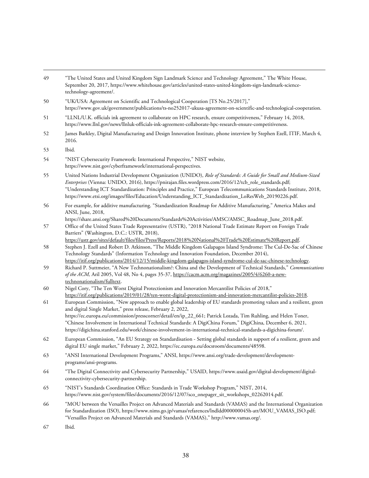<span id="page-37-12"></span><span id="page-37-11"></span><span id="page-37-10"></span><span id="page-37-9"></span><span id="page-37-8"></span><span id="page-37-7"></span><span id="page-37-6"></span><span id="page-37-5"></span><span id="page-37-4"></span><span id="page-37-3"></span><span id="page-37-2"></span><span id="page-37-1"></span><span id="page-37-0"></span>

| 49 | "The United States and United Kingdom Sign Landmark Science and Technology Agreement," The White House,<br>September 20, 2017, https://www.whitehouse.gov/articles/united-states-united-kingdom-sign-landmark-science-<br>technology-agreement/.                                                                                                                                                                                                             |
|----|--------------------------------------------------------------------------------------------------------------------------------------------------------------------------------------------------------------------------------------------------------------------------------------------------------------------------------------------------------------------------------------------------------------------------------------------------------------|
| 50 | "UK/USA: Agreement on Scientific and Technological Cooperation [TS No.25/2017],"<br>https://www.gov.uk/government/publications/ts-no252017-ukusa-agreement-on-scientific-and-technological-cooperation.                                                                                                                                                                                                                                                      |
| 51 | "LLNL/U.K. officials ink agreement to collaborate on HPC research, ensure competitiveness," February 14, 2018,<br>https://www.llnl.gov/news/llnluk-officials-ink-agreement-collaborate-hpc-research-ensure-competitiveness.                                                                                                                                                                                                                                  |
| 52 | James Barkley, Digital Manufacturing and Design Innovation Institute, phone interview by Stephen Ezell, ITIF, March 4,<br>2016.                                                                                                                                                                                                                                                                                                                              |
| 53 | Ibid.                                                                                                                                                                                                                                                                                                                                                                                                                                                        |
| 54 | "NIST Cybersecurity Framework: International Perspective," NIST website,<br>https://www.nist.gov/cyberframework/international-perspectives.                                                                                                                                                                                                                                                                                                                  |
| 55 | United Nations Industrial Development Organization (UNIDO), Role of Standards: A Guide for Small and Medium-Sized<br>Enterprises (Vienna: UNIDO, 2016), https://pnirajan.files.wordpress.com/2016/12/tcb_role_standards.pdf;<br>"Understanding ICT Standardization: Principles and Practice," European Telecommunications Standards Institute, 2018,<br>https://www.etsi.org/images/files/Education/Understanding_ICT_Standardization_LoResWeb_20190226.pdf. |
| 56 | For example, for additive manufacturing. "Standardization Roadmap for Additive Manufacturing," America Makes and<br>ANSI, June, 2018,                                                                                                                                                                                                                                                                                                                        |
| 57 | https://share.ansi.org/Shared%20Documents/Standards%20Activities/AMSC/AMSC_Roadmap_June_2018.pdf.<br>Office of the United States Trade Representative (USTR), "2018 National Trade Estimate Report on Foreign Trade<br>Barriers" (Washington, D.C.: USTR, 2018),                                                                                                                                                                                             |
| 58 | https://ustr.gov/sites/default/files/files/Press/Reports/2018%20National%20Trade%20Estimate%20Report.pdf.<br>Stephen J. Ezell and Robert D. Atkinson, "The Middle Kingdom Galapagos Island Syndrome: The Cul-De-Sac of Chinese<br>Technology Standards" (Information Technology and Innovation Foundation, December 2014),                                                                                                                                   |
| 59 | https://itif.org/publications/2014/12/15/middle-kingdom-galapagos-island-syndrome-cul-de-sac-chinese-technology.<br>Richard P. Suttmeier, "A New Technonationalism?: China and the Development of Technical Standards," Communications<br>of the ACM, Aril 2005, Vol 48, No 4, pages 35-37, https://cacm.acm.org/magazines/2005/4/6260-a-new-                                                                                                                |
| 60 | technonationalism/fulltext.<br>Nigel Cory, "The Ten Worst Digital Protectionism and Innovation Mercantilist Policies of 2018,"<br>https://itif.org/publications/2019/01/28/ten-worst-digital-protectionism-and-innovation-mercantilist-policies-2018.                                                                                                                                                                                                        |
| 61 | European Commission, "New approach to enable global leadership of EU standards promoting values and a resilient, green<br>and digital Single Market," press release, February 2, 2022,                                                                                                                                                                                                                                                                       |
|    | https://ec.europa.eu/commission/presscorner/detail/en/ip_22_661; Patrick Lozada, Tim Ruhling, and Helen Toner,<br>"Chinese Involvement in International Technical Standards: A DigiChina Forum," DigiChina, December 6, 2021,<br>https://digichina.stanford.edu/work/chinese-involvement-in-international-technical-standards-a-digichina-forum/.                                                                                                            |
| 62 | European Commission, "An EU Strategy on Standardisation - Setting global standards in support of a resilient, green and<br>digital EU single market," February 2, 2022, https://ec.europa.eu/docsroom/documents/48598.                                                                                                                                                                                                                                       |
| 63 | "ANSI International Development Programs," ANSI, https://www.ansi.org/trade-development/development-<br>programs/ansi-programs.                                                                                                                                                                                                                                                                                                                              |
| 64 | "The Digital Connectivity and Cybersecurity Partnership," USAID, https://www.usaid.gov/digital-development/digital-<br>connectivity-cybersecurity-partnership.                                                                                                                                                                                                                                                                                               |
| 65 | "NIST's Standards Coordination Office: Standards in Trade Workshop Program," NIST, 2014,<br>https://www.nist.gov/system/files/documents/2016/12/07/sco_onepager_sit_workshops_02262014.pdf.                                                                                                                                                                                                                                                                  |
| 66 | "MOU between the Versailles Project on Advanced Materials and Standards (VAMAS) and the International Organization<br>for Standardization (ISO), https://www.nims.go.jp/vamas/refarences/lndldd000000045h-att/MOU_VAMAS_ISO.pdf;<br>"Versailles Project on Advanced Materials and Standards (VAMAS)," http://www.vamas.org/.                                                                                                                                 |
| 67 | Ibid.                                                                                                                                                                                                                                                                                                                                                                                                                                                        |

<span id="page-37-18"></span><span id="page-37-17"></span><span id="page-37-16"></span><span id="page-37-15"></span><span id="page-37-14"></span><span id="page-37-13"></span>38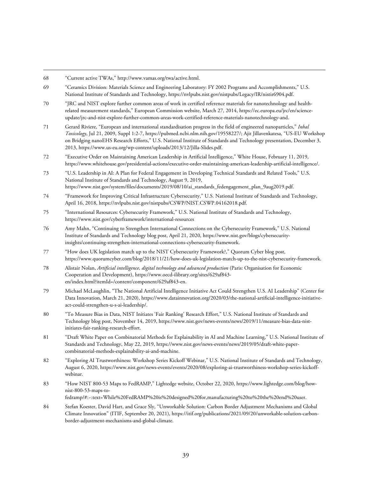- <span id="page-38-1"></span>69 "Ceramics Division: Materials Science and Engineering Laboratory: FY 2002 Programs and Accomplishments," U.S. National Institute of Standards and Technology[, https://nvlpubs.nist.gov/nistpubs/Legacy/IR/nistir6904.pdf.](https://nvlpubs.nist.gov/nistpubs/Legacy/IR/nistir6904.pdf)
- <span id="page-38-2"></span>70 "JRC and NIST explore further common areas of work in certified reference materials for nanotechnology and healthrelated measurement standards," European Commission website, March 27, 2014, [https://ec.europa.eu/jrc/en/science](https://ec.europa.eu/jrc/en/science-update/jrc-and-nist-explore-further-common-areas-work-certified-reference-materials-nanotechnology-and)[update/jrc-and-nist-explore-further-common-areas-work-certified-reference-materials-nanotechnology-and.](https://ec.europa.eu/jrc/en/science-update/jrc-and-nist-explore-further-common-areas-work-certified-reference-materials-nanotechnology-and)
- <span id="page-38-3"></span>71 Gerard Riviere, "European and international standardisation progress in the field of engineered nanoparticles," *Inhal Toxicology*, Jul 21, 2009, Suppl 1:2-7[, https://pubmed.ncbi.nlm.nih.gov/19558227/;](https://pubmed.ncbi.nlm.nih.gov/19558227/) Ajit Jillavenkatesa, "US-EU Workshop on Bridging nanoEHS Research Efforts," U.S. National Institute of Standards and Technology presentation, December 3, 2013[, https://www.us-eu.org/wp-content/uploads/2013/12/Jilla-Slides.pdf.](https://www.us-eu.org/wp-content/uploads/2013/12/Jilla-Slides.pdf)
- <span id="page-38-4"></span>72 "Executive Order on Maintaining American Leadership in Artificial Intelligence," White House, February 11, 2019, [https://www.whitehouse.gov/presidential-actions/executive-order-maintaining-american-leadership-artificial-intelligence/.](https://www.whitehouse.gov/presidential-actions/executive-order-maintaining-american-leadership-artificial-intelligence/)
- <span id="page-38-5"></span>73 "U.S. Leadership in AI: A Plan for Federal Engagement in Developing Technical Standards and Related Tools," U.S. National Institute of Standards and Technology, August 9, 2019, [https://www.nist.gov/system/files/documents/2019/08/10/ai\\_standards\\_fedengagement\\_plan\\_9aug2019.pdf.](https://www.nist.gov/system/files/documents/2019/08/10/ai_standards_fedengagement_plan_9aug2019.pdf)
- <span id="page-38-6"></span>74 "Framework for Improving Critical Infrastructure Cybersecurity," U.S. National Institute of Standards and Technology, April 16, 2018, [https://nvlpubs.nist.gov/nistpubs/CSWP/NIST.CSWP.04162018.pdf.](https://nvlpubs.nist.gov/nistpubs/CSWP/NIST.CSWP.04162018.pdf)
- <span id="page-38-7"></span>75 "International Resources: Cybersecurity Framework," U.S. National Institute of Standards and Technology, <https://www.nist.gov/cyberframework/international-resources>
- <span id="page-38-8"></span>76 Amy Mahn, "Continuing to Strengthen International Connections on the Cybersecurity Framework," U.S. National Institute of Standards and Technology blog post, April 21, 2020[, https://www.nist.gov/blogs/cybersecurity](https://www.nist.gov/blogs/cybersecurity-insights/continuing-strengthen-international-connections-cybersecurity-framework)[insights/continuing-strengthen-international-connections-cybersecurity-framework.](https://www.nist.gov/blogs/cybersecurity-insights/continuing-strengthen-international-connections-cybersecurity-framework)
- <span id="page-38-9"></span>77 "How does UK legislation match up to the NIST Cybersecurity Framework?," Quorum Cyber blog post, [https://www.quorumcyber.com/blog/2018/11/21/how-does-uk-legislation-match-up-to-the-nist-cybersecurity-framework.](https://www.quorumcyber.com/blog/2018/11/21/how-does-uk-legislation-match-up-to-the-nist-cybersecurity-framework)
- <span id="page-38-10"></span>78 Alistair Nolan, *Artificial intelligence, digital technology and advanced production* (Paris: Organisation for Economic Cooperation and Development), [https://www.oecd-ilibrary.org/sites/629af843](https://www.oecd-ilibrary.org/sites/629af843-en/index.html?itemId=/content/component/629af843-en) [en/index.html?itemId=/content/component/629af843-en.](https://www.oecd-ilibrary.org/sites/629af843-en/index.html?itemId=/content/component/629af843-en)
- <span id="page-38-11"></span>79 Michael McLaughlin, "The National Artificial Intelligence Initiative Act Could Strengthen U.S. AI Leadership" (Center for Data Innovation, March 21, 2020)[, https://www.datainnovation.org/2020/03/the-national-artificial-intelligence-initiative](https://www.datainnovation.org/2020/03/the-national-artificial-intelligence-initiative-act-could-strengthen-u-s-ai-leadership/)[act-could-strengthen-u-s-ai-leadership/.](https://www.datainnovation.org/2020/03/the-national-artificial-intelligence-initiative-act-could-strengthen-u-s-ai-leadership/)
- <span id="page-38-12"></span>80 "To Measure Bias in Data, NIST Initiates 'Fair Ranking' Research Effort," U.S. National Institute of Standards and Technology blog post, November 14, 2019[, https://www.nist.gov/news-events/news/2019/11/measure-bias-data-nist](https://www.nist.gov/news-events/news/2019/11/measure-bias-data-nist-initiates-fair-ranking-research-effort)[initiates-fair-ranking-research-effort.](https://www.nist.gov/news-events/news/2019/11/measure-bias-data-nist-initiates-fair-ranking-research-effort)
- <span id="page-38-13"></span>81 "Draft White Paper on Combinatorial Methods for Explainability in AI and Machine Learning," U.S. National Institute of Standards and Technology, May 22, 2019[, https://www.nist.gov/news-events/news/2019/05/draft-white-paper](https://www.nist.gov/news-events/news/2019/05/draft-white-paper-combinatorial-methods-explainability-ai-and-machine)[combinatorial-methods-explainability-ai-and-machine.](https://www.nist.gov/news-events/news/2019/05/draft-white-paper-combinatorial-methods-explainability-ai-and-machine)
- <span id="page-38-14"></span>82 "Exploring AI Trustworthiness: Workshop Series Kickoff Webinar," U.S. National Institute of Standards and Technology, August 6, 2020[, https://www.nist.gov/news-events/events/2020/08/exploring-ai-trustworthiness-workshop-series-kickoff](https://www.nist.gov/news-events/events/2020/08/exploring-ai-trustworthiness-workshop-series-kickoff-webinar)[webinar.](https://www.nist.gov/news-events/events/2020/08/exploring-ai-trustworthiness-workshop-series-kickoff-webinar)
- <span id="page-38-15"></span>83 "How NIST 800-53 Maps to FedRAMP," Lightedge website, October 22, 2020[, https://www.lightedge.com/blog/how](https://www.lightedge.com/blog/how-nist-800-53-maps-to-fedramp/#:%7E:text=While%20FedRAMP%20is%20designed%20for,manufacturing%20to%20the%20end%20user)[nist-800-53-maps-to-](https://www.lightedge.com/blog/how-nist-800-53-maps-to-fedramp/#:%7E:text=While%20FedRAMP%20is%20designed%20for,manufacturing%20to%20the%20end%20user)

[fedramp/#:~:text=While%20FedRAMP%20is%20designed%20for,manufacturing%20to%20the%20end%20user.](https://www.lightedge.com/blog/how-nist-800-53-maps-to-fedramp/#:%7E:text=While%20FedRAMP%20is%20designed%20for,manufacturing%20to%20the%20end%20user) 

<span id="page-38-16"></span>84 Stefan Koester, David Hart, and Grace Sly, "Unworkable Solution: Carbon Border Adjustment Mechanisms and Global Climate Innovation" (ITIF, September 20, 2021), [https://itif.org/publications/2021/09/20/unworkable-solution-carbon](https://itif.org/publications/2021/09/20/unworkable-solution-carbon-border-adjustment-mechanisms-and-global-climate)[border-adjustment-mechanisms-and-global-climate.](https://itif.org/publications/2021/09/20/unworkable-solution-carbon-border-adjustment-mechanisms-and-global-climate)

<span id="page-38-0"></span><sup>68</sup> "Current active TWAs," [http://www.vamas.org/twa/active.html.](http://www.vamas.org/twa/active.html)